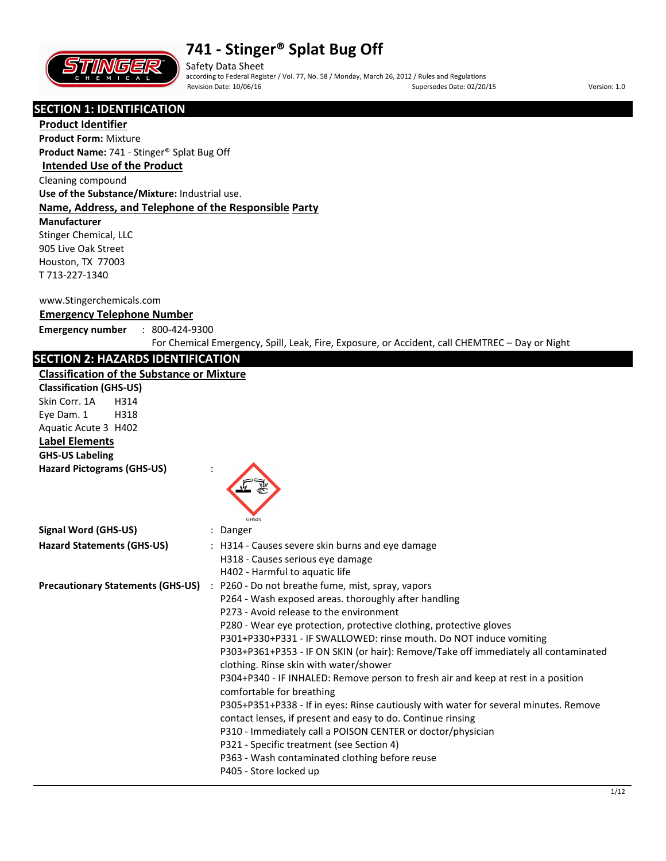

Safety Data Sheet according to Federal Register / Vol. 77, No. 58 / Monday, March 26, 2012 / Rules and Regulations Revision Date: 10/06/16 **Supersedes Date: 02/20/15** Supersedes Date: 02/20/15 **Version: 1.0** 

## **SECTION 1: IDENTIFICATION**

**Product Identifier Product Form:** Mixture

**Product Name:** 741 - Stinger® Splat Bug Off

## **Intended Use of the Product**

Cleaning compound

**Use of the Substance/Mixture:** Industrial use.

## **Name, Address, and Telephone of the Responsible Party**

**Manufacturer** 

Stinger Chemical, LLC 905 Live Oak Street Houston, TX 77003 T 713-227-1340

#### www.Stingerchemicals.com

### **Emergency Telephone Number**

**Emergency number** : 800-424-9300

For Chemical Emergency, Spill, Leak, Fire, Exposure, or Accident, call CHEMTREC – Day or Night

## **SECTION 2: HAZARDS IDENTIFICATION**

#### **Classification of the Substance or Mixture**

| Classification of the Substance or Mixture |                                                                                                                                                                                                                                                                                                                                                                                                                                                                                                                                                                                                                                                                                                                                                                                                                                                                                                                                      |
|--------------------------------------------|--------------------------------------------------------------------------------------------------------------------------------------------------------------------------------------------------------------------------------------------------------------------------------------------------------------------------------------------------------------------------------------------------------------------------------------------------------------------------------------------------------------------------------------------------------------------------------------------------------------------------------------------------------------------------------------------------------------------------------------------------------------------------------------------------------------------------------------------------------------------------------------------------------------------------------------|
| <b>Classification (GHS-US)</b>             |                                                                                                                                                                                                                                                                                                                                                                                                                                                                                                                                                                                                                                                                                                                                                                                                                                                                                                                                      |
| Skin Corr. 1A<br>H314                      |                                                                                                                                                                                                                                                                                                                                                                                                                                                                                                                                                                                                                                                                                                                                                                                                                                                                                                                                      |
| Eye Dam. 1<br>H318                         |                                                                                                                                                                                                                                                                                                                                                                                                                                                                                                                                                                                                                                                                                                                                                                                                                                                                                                                                      |
| Aquatic Acute 3 H402                       |                                                                                                                                                                                                                                                                                                                                                                                                                                                                                                                                                                                                                                                                                                                                                                                                                                                                                                                                      |
| <b>Label Elements</b>                      |                                                                                                                                                                                                                                                                                                                                                                                                                                                                                                                                                                                                                                                                                                                                                                                                                                                                                                                                      |
| <b>GHS-US Labeling</b>                     |                                                                                                                                                                                                                                                                                                                                                                                                                                                                                                                                                                                                                                                                                                                                                                                                                                                                                                                                      |
| <b>Hazard Pictograms (GHS-US)</b>          | GHS05                                                                                                                                                                                                                                                                                                                                                                                                                                                                                                                                                                                                                                                                                                                                                                                                                                                                                                                                |
| <b>Signal Word (GHS-US)</b>                | : Danger                                                                                                                                                                                                                                                                                                                                                                                                                                                                                                                                                                                                                                                                                                                                                                                                                                                                                                                             |
| <b>Hazard Statements (GHS-US)</b>          | : H314 - Causes severe skin burns and eye damage<br>H318 - Causes serious eye damage<br>H402 - Harmful to aquatic life                                                                                                                                                                                                                                                                                                                                                                                                                                                                                                                                                                                                                                                                                                                                                                                                               |
|                                            | Precautionary Statements (GHS-US) : P260 - Do not breathe fume, mist, spray, vapors<br>P264 - Wash exposed areas. thoroughly after handling<br>P273 - Avoid release to the environment<br>P280 - Wear eye protection, protective clothing, protective gloves<br>P301+P330+P331 - IF SWALLOWED: rinse mouth. Do NOT induce vomiting<br>P303+P361+P353 - IF ON SKIN (or hair): Remove/Take off immediately all contaminated<br>clothing. Rinse skin with water/shower<br>P304+P340 - IF INHALED: Remove person to fresh air and keep at rest in a position<br>comfortable for breathing<br>P305+P351+P338 - If in eyes: Rinse cautiously with water for several minutes. Remove<br>contact lenses, if present and easy to do. Continue rinsing<br>P310 - Immediately call a POISON CENTER or doctor/physician<br>P321 - Specific treatment (see Section 4)<br>P363 - Wash contaminated clothing before reuse<br>P405 - Store locked up |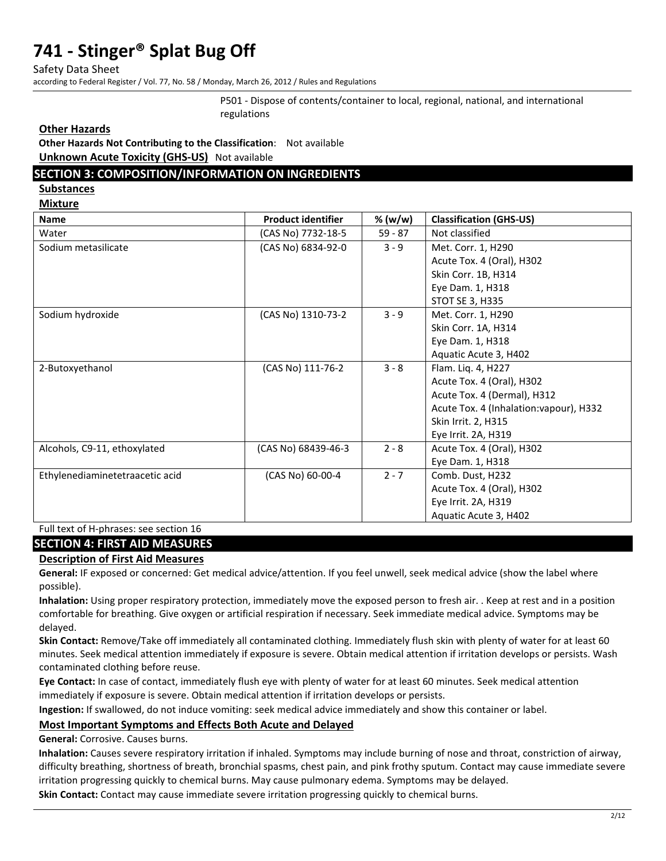Safety Data Sheet

according to Federal Register / Vol. 77, No. 58 / Monday, March 26, 2012 / Rules and Regulations

P501 - Dispose of contents/container to local, regional, national, and international regulations

**Other Hazards**

**Other Hazards Not Contributing to the Classification**: Not available **Unknown Acute Toxicity (GHS-US)** Not available

## **SECTION 3: COMPOSITION/INFORMATION ON INGREDIENTS**

**Substances** 

**Mixture** 

| <b>Name</b>                     | <b>Product identifier</b> | % (w/w)   | <b>Classification (GHS-US)</b>          |
|---------------------------------|---------------------------|-----------|-----------------------------------------|
| Water                           | (CAS No) 7732-18-5        | $59 - 87$ | Not classified                          |
| Sodium metasilicate             | (CAS No) 6834-92-0        | $3 - 9$   | Met. Corr. 1, H290                      |
|                                 |                           |           | Acute Tox. 4 (Oral), H302               |
|                                 |                           |           | Skin Corr. 1B, H314                     |
|                                 |                           |           | Eye Dam. 1, H318                        |
|                                 |                           |           | <b>STOT SE 3, H335</b>                  |
| Sodium hydroxide                | (CAS No) 1310-73-2        | $3 - 9$   | Met. Corr. 1, H290                      |
|                                 |                           |           | Skin Corr. 1A, H314                     |
|                                 |                           |           | Eye Dam. 1, H318                        |
|                                 |                           |           | Aquatic Acute 3, H402                   |
| 2-Butoxyethanol                 | (CAS No) 111-76-2         | $3 - 8$   | Flam. Liq. 4, H227                      |
|                                 |                           |           | Acute Tox. 4 (Oral), H302               |
|                                 |                           |           | Acute Tox. 4 (Dermal), H312             |
|                                 |                           |           | Acute Tox. 4 (Inhalation: vapour), H332 |
|                                 |                           |           | Skin Irrit. 2, H315                     |
|                                 |                           |           | Eye Irrit. 2A, H319                     |
| Alcohols, C9-11, ethoxylated    | (CAS No) 68439-46-3       | $2 - 8$   | Acute Tox. 4 (Oral), H302               |
|                                 |                           |           | Eye Dam. 1, H318                        |
| Ethylenediaminetetraacetic acid | (CAS No) 60-00-4          | $2 - 7$   | Comb. Dust, H232                        |
|                                 |                           |           | Acute Tox. 4 (Oral), H302               |
|                                 |                           |           | Eye Irrit. 2A, H319                     |
|                                 |                           |           | Aquatic Acute 3, H402                   |

Full text of H-phrases: see section 16

### **SECTION 4: FIRST AID MEASURES**

### **Description of First Aid Measures**

**General:** IF exposed or concerned: Get medical advice/attention. If you feel unwell, seek medical advice (show the label where possible).

**Inhalation:** Using proper respiratory protection, immediately move the exposed person to fresh air. . Keep at rest and in a position comfortable for breathing. Give oxygen or artificial respiration if necessary. Seek immediate medical advice. Symptoms may be delayed.

**Skin Contact:** Remove/Take off immediately all contaminated clothing. Immediately flush skin with plenty of water for at least 60 minutes. Seek medical attention immediately if exposure is severe. Obtain medical attention if irritation develops or persists. Wash contaminated clothing before reuse.

**Eye Contact:** In case of contact, immediately flush eye with plenty of water for at least 60 minutes. Seek medical attention immediately if exposure is severe. Obtain medical attention if irritation develops or persists.

**Ingestion:** If swallowed, do not induce vomiting: seek medical advice immediately and show this container or label.

## **Most Important Symptoms and Effects Both Acute and Delayed**

**General:** Corrosive. Causes burns.

**Inhalation:** Causes severe respiratory irritation if inhaled. Symptoms may include burning of nose and throat, constriction of airway, difficulty breathing, shortness of breath, bronchial spasms, chest pain, and pink frothy sputum. Contact may cause immediate severe irritation progressing quickly to chemical burns. May cause pulmonary edema. Symptoms may be delayed.

**Skin Contact:** Contact may cause immediate severe irritation progressing quickly to chemical burns.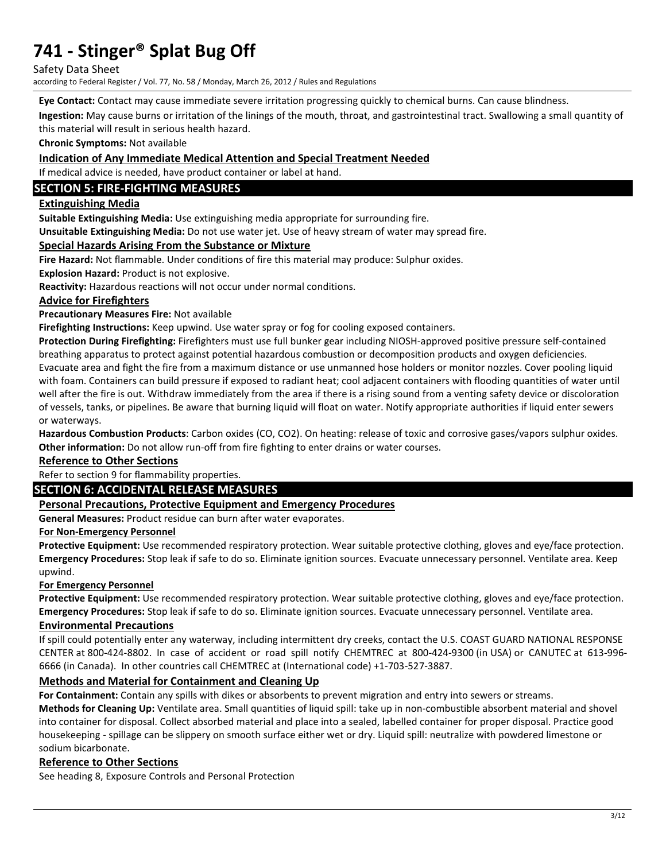Safety Data Sheet

according to Federal Register / Vol. 77, No. 58 / Monday, March 26, 2012 / Rules and Regulations

**Eye Contact:** Contact may cause immediate severe irritation progressing quickly to chemical burns. Can cause blindness.

**Ingestion:** May cause burns or irritation of the linings of the mouth, throat, and gastrointestinal tract. Swallowing a small quantity of this material will result in serious health hazard.

**Chronic Symptoms:** Not available

### **Indication of Any Immediate Medical Attention and Special Treatment Needed**

If medical advice is needed, have product container or label at hand.

## **SECTION 5: FIRE-FIGHTING MEASURES**

### **Extinguishing Media**

**Suitable Extinguishing Media:** Use extinguishing media appropriate for surrounding fire.

**Unsuitable Extinguishing Media:** Do not use water jet. Use of heavy stream of water may spread fire.

### **Special Hazards Arising From the Substance or Mixture**

**Fire Hazard:** Not flammable. Under conditions of fire this material may produce: Sulphur oxides.

**Explosion Hazard:** Product is not explosive.

**Reactivity:** Hazardous reactions will not occur under normal conditions.

## **Advice for Firefighters**

**Precautionary Measures Fire:** Not available

**Firefighting Instructions:** Keep upwind. Use water spray or fog for cooling exposed containers.

**Protection During Firefighting:** Firefighters must use full bunker gear including NIOSH-approved positive pressure self-contained breathing apparatus to protect against potential hazardous combustion or decomposition products and oxygen deficiencies. Evacuate area and fight the fire from a maximum distance or use unmanned hose holders or monitor nozzles. Cover pooling liquid with foam. Containers can build pressure if exposed to radiant heat; cool adjacent containers with flooding quantities of water until well after the fire is out. Withdraw immediately from the area if there is a rising sound from a venting safety device or discoloration of vessels, tanks, or pipelines. Be aware that burning liquid will float on water. Notify appropriate authorities if liquid enter sewers or waterways.

**Hazardous Combustion Products**: Carbon oxides (CO, CO2). On heating: release of toxic and corrosive gases/vapors sulphur oxides. **Other information:** Do not allow run-off from fire fighting to enter drains or water courses.

### **Reference to Other Sections**

## Refer to section 9 for flammability properties.

## **SECTION 6: ACCIDENTAL RELEASE MEASURES**

## **Personal Precautions, Protective Equipment and Emergency Procedures**

**General Measures:** Product residue can burn after water evaporates.

### **For Non-Emergency Personnel**

**Protective Equipment:** Use recommended respiratory protection. Wear suitable protective clothing, gloves and eye/face protection. **Emergency Procedures:** Stop leak if safe to do so. Eliminate ignition sources. Evacuate unnecessary personnel. Ventilate area. Keep upwind.

### **For Emergency Personnel**

**Protective Equipment:** Use recommended respiratory protection. Wear suitable protective clothing, gloves and eye/face protection. **Emergency Procedures:** Stop leak if safe to do so. Eliminate ignition sources. Evacuate unnecessary personnel. Ventilate area.

### **Environmental Precautions**

If spill could potentially enter any waterway, including intermittent dry creeks, contact the U.S. COAST GUARD NATIONAL RESPONSE CENTER at 800-424-8802. In case of accident or road spill notify CHEMTREC at 800-424-9300 (in USA) or CANUTEC at 613-996- 6666 (in Canada). In other countries call CHEMTREC at (International code) +1-703-527-3887.

## **Methods and Material for Containment and Cleaning Up**

**For Containment:** Contain any spills with dikes or absorbents to prevent migration and entry into sewers or streams.

**Methods for Cleaning Up:** Ventilate area. Small quantities of liquid spill: take up in non-combustible absorbent material and shovel into container for disposal. Collect absorbed material and place into a sealed, labelled container for proper disposal. Practice good housekeeping - spillage can be slippery on smooth surface either wet or dry. Liquid spill: neutralize with powdered limestone or sodium bicarbonate.

### **Reference to Other Sections**

See heading 8, Exposure Controls and Personal Protection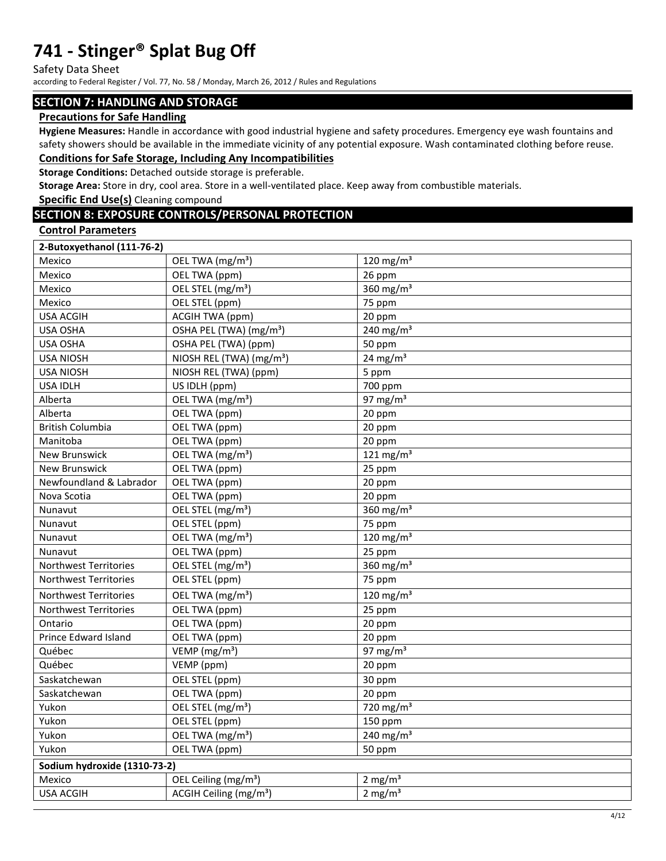Safety Data Sheet

according to Federal Register / Vol. 77, No. 58 / Monday, March 26, 2012 / Rules and Regulations

### **SECTION 7: HANDLING AND STORAGE**

#### **Precautions for Safe Handling**

**Hygiene Measures:** Handle in accordance with good industrial hygiene and safety procedures. Emergency eye wash fountains and safety showers should be available in the immediate vicinity of any potential exposure. Wash contaminated clothing before reuse. **Conditions for Safe Storage, Including Any Incompatibilities** 

## **Storage Conditions:** Detached outside storage is preferable.

**Storage Area:** Store in dry, cool area. Store in a well-ventilated place. Keep away from combustible materials.

**Specific End Use(s)** Cleaning compound

## **SECTION 8: EXPOSURE CONTROLS/PERSONAL PROTECTION**

#### **Control Parameters**

| Mexico<br>OEL TWA (mg/m <sup>3</sup> )<br>Mexico<br>26 ppm<br>OEL TWA (ppm)<br>$\frac{1}{360}$ mg/m <sup>3</sup><br>OEL STEL (mg/m <sup>3</sup> )<br>Mexico<br>OEL STEL (ppm)<br>75 ppm<br>Mexico<br>20 ppm<br><b>USA ACGIH</b><br><b>ACGIH TWA (ppm)</b><br>240 mg/m $3$<br>OSHA PEL (TWA) (mg/m <sup>3</sup> )<br><b>USA OSHA</b><br><b>USA OSHA</b><br>OSHA PEL (TWA) (ppm)<br>50 ppm<br>24 mg/m $3$<br>NIOSH REL (TWA) (mg/m <sup>3</sup> )<br><b>USA NIOSH</b><br><b>USA NIOSH</b><br>NIOSH REL (TWA) (ppm)<br>5 ppm<br>US IDLH (ppm)<br>700 ppm<br><b>USA IDLH</b><br>97 mg/m $3$<br>Alberta<br>OEL TWA (mg/m <sup>3</sup> )<br>OEL TWA (ppm)<br>Alberta<br>20 ppm<br><b>British Columbia</b><br>OEL TWA (ppm)<br>20 ppm<br>Manitoba<br>20 ppm<br>OEL TWA (ppm)<br>OEL TWA (mg/m <sup>3</sup> )<br>121 $mg/m3$<br>New Brunswick<br><b>New Brunswick</b><br>OEL TWA (ppm)<br>25 ppm<br>Newfoundland & Labrador<br>20 ppm<br>OEL TWA (ppm)<br>OEL TWA (ppm)<br>20 ppm<br>Nova Scotia<br>OEL STEL (mg/m <sup>3</sup> )<br>360 mg/m $3$<br>Nunavut<br>OEL STEL (ppm)<br>Nunavut<br>75 ppm<br>OEL TWA (mg/m <sup>3</sup> )<br>120 mg/m $3$<br>Nunavut<br>OEL TWA (ppm)<br>Nunavut<br>25 ppm<br>OEL STEL (mg/m <sup>3</sup> )<br>360 mg/m <sup>3</sup><br>Northwest Territories<br>OEL STEL (ppm)<br>75 ppm<br><b>Northwest Territories</b><br>120 mg/m $3$<br><b>Northwest Territories</b><br>OEL TWA (mg/m <sup>3</sup> )<br>OEL TWA (ppm)<br>25 ppm<br>Northwest Territories<br>OEL TWA (ppm)<br>20 ppm<br>Ontario<br>Prince Edward Island<br>OEL TWA (ppm)<br>20 ppm<br>VEMP (mg/m <sup>3</sup> )<br>97 mg/m $3$<br>Québec<br>Québec<br>VEMP (ppm)<br>20 ppm<br>OEL STEL (ppm)<br>30 ppm<br>Saskatchewan<br>Saskatchewan<br>OEL TWA (ppm)<br>20 ppm<br>$\frac{1}{220}$ mg/m <sup>3</sup><br>Yukon<br>OEL STEL (mg/m <sup>3</sup> )<br>Yukon<br>OEL STEL (ppm)<br>150 ppm<br>$240$ mg/m <sup>3</sup><br>Yukon<br>OEL TWA (mg/m <sup>3</sup> )<br>Yukon<br>OEL TWA (ppm)<br>50 ppm<br>Sodium hydroxide (1310-73-2)<br>2 mg/ $m3$<br>Mexico<br>OEL Ceiling (mg/m <sup>3</sup> )<br>2 mg/ $m3$<br>ACGIH Ceiling (mg/m <sup>3</sup> )<br><b>USA ACGIH</b> | 2-Butoxyethanol (111-76-2) |              |
|----------------------------------------------------------------------------------------------------------------------------------------------------------------------------------------------------------------------------------------------------------------------------------------------------------------------------------------------------------------------------------------------------------------------------------------------------------------------------------------------------------------------------------------------------------------------------------------------------------------------------------------------------------------------------------------------------------------------------------------------------------------------------------------------------------------------------------------------------------------------------------------------------------------------------------------------------------------------------------------------------------------------------------------------------------------------------------------------------------------------------------------------------------------------------------------------------------------------------------------------------------------------------------------------------------------------------------------------------------------------------------------------------------------------------------------------------------------------------------------------------------------------------------------------------------------------------------------------------------------------------------------------------------------------------------------------------------------------------------------------------------------------------------------------------------------------------------------------------------------------------------------------------------------------------------------------------------------------------------------------------------------------------------------------------------------------------------------------------------------------------------------------------------|----------------------------|--------------|
|                                                                                                                                                                                                                                                                                                                                                                                                                                                                                                                                                                                                                                                                                                                                                                                                                                                                                                                                                                                                                                                                                                                                                                                                                                                                                                                                                                                                                                                                                                                                                                                                                                                                                                                                                                                                                                                                                                                                                                                                                                                                                                                                                          |                            | 120 mg/m $3$ |
|                                                                                                                                                                                                                                                                                                                                                                                                                                                                                                                                                                                                                                                                                                                                                                                                                                                                                                                                                                                                                                                                                                                                                                                                                                                                                                                                                                                                                                                                                                                                                                                                                                                                                                                                                                                                                                                                                                                                                                                                                                                                                                                                                          |                            |              |
|                                                                                                                                                                                                                                                                                                                                                                                                                                                                                                                                                                                                                                                                                                                                                                                                                                                                                                                                                                                                                                                                                                                                                                                                                                                                                                                                                                                                                                                                                                                                                                                                                                                                                                                                                                                                                                                                                                                                                                                                                                                                                                                                                          |                            |              |
|                                                                                                                                                                                                                                                                                                                                                                                                                                                                                                                                                                                                                                                                                                                                                                                                                                                                                                                                                                                                                                                                                                                                                                                                                                                                                                                                                                                                                                                                                                                                                                                                                                                                                                                                                                                                                                                                                                                                                                                                                                                                                                                                                          |                            |              |
|                                                                                                                                                                                                                                                                                                                                                                                                                                                                                                                                                                                                                                                                                                                                                                                                                                                                                                                                                                                                                                                                                                                                                                                                                                                                                                                                                                                                                                                                                                                                                                                                                                                                                                                                                                                                                                                                                                                                                                                                                                                                                                                                                          |                            |              |
|                                                                                                                                                                                                                                                                                                                                                                                                                                                                                                                                                                                                                                                                                                                                                                                                                                                                                                                                                                                                                                                                                                                                                                                                                                                                                                                                                                                                                                                                                                                                                                                                                                                                                                                                                                                                                                                                                                                                                                                                                                                                                                                                                          |                            |              |
|                                                                                                                                                                                                                                                                                                                                                                                                                                                                                                                                                                                                                                                                                                                                                                                                                                                                                                                                                                                                                                                                                                                                                                                                                                                                                                                                                                                                                                                                                                                                                                                                                                                                                                                                                                                                                                                                                                                                                                                                                                                                                                                                                          |                            |              |
|                                                                                                                                                                                                                                                                                                                                                                                                                                                                                                                                                                                                                                                                                                                                                                                                                                                                                                                                                                                                                                                                                                                                                                                                                                                                                                                                                                                                                                                                                                                                                                                                                                                                                                                                                                                                                                                                                                                                                                                                                                                                                                                                                          |                            |              |
|                                                                                                                                                                                                                                                                                                                                                                                                                                                                                                                                                                                                                                                                                                                                                                                                                                                                                                                                                                                                                                                                                                                                                                                                                                                                                                                                                                                                                                                                                                                                                                                                                                                                                                                                                                                                                                                                                                                                                                                                                                                                                                                                                          |                            |              |
|                                                                                                                                                                                                                                                                                                                                                                                                                                                                                                                                                                                                                                                                                                                                                                                                                                                                                                                                                                                                                                                                                                                                                                                                                                                                                                                                                                                                                                                                                                                                                                                                                                                                                                                                                                                                                                                                                                                                                                                                                                                                                                                                                          |                            |              |
|                                                                                                                                                                                                                                                                                                                                                                                                                                                                                                                                                                                                                                                                                                                                                                                                                                                                                                                                                                                                                                                                                                                                                                                                                                                                                                                                                                                                                                                                                                                                                                                                                                                                                                                                                                                                                                                                                                                                                                                                                                                                                                                                                          |                            |              |
|                                                                                                                                                                                                                                                                                                                                                                                                                                                                                                                                                                                                                                                                                                                                                                                                                                                                                                                                                                                                                                                                                                                                                                                                                                                                                                                                                                                                                                                                                                                                                                                                                                                                                                                                                                                                                                                                                                                                                                                                                                                                                                                                                          |                            |              |
|                                                                                                                                                                                                                                                                                                                                                                                                                                                                                                                                                                                                                                                                                                                                                                                                                                                                                                                                                                                                                                                                                                                                                                                                                                                                                                                                                                                                                                                                                                                                                                                                                                                                                                                                                                                                                                                                                                                                                                                                                                                                                                                                                          |                            |              |
|                                                                                                                                                                                                                                                                                                                                                                                                                                                                                                                                                                                                                                                                                                                                                                                                                                                                                                                                                                                                                                                                                                                                                                                                                                                                                                                                                                                                                                                                                                                                                                                                                                                                                                                                                                                                                                                                                                                                                                                                                                                                                                                                                          |                            |              |
|                                                                                                                                                                                                                                                                                                                                                                                                                                                                                                                                                                                                                                                                                                                                                                                                                                                                                                                                                                                                                                                                                                                                                                                                                                                                                                                                                                                                                                                                                                                                                                                                                                                                                                                                                                                                                                                                                                                                                                                                                                                                                                                                                          |                            |              |
|                                                                                                                                                                                                                                                                                                                                                                                                                                                                                                                                                                                                                                                                                                                                                                                                                                                                                                                                                                                                                                                                                                                                                                                                                                                                                                                                                                                                                                                                                                                                                                                                                                                                                                                                                                                                                                                                                                                                                                                                                                                                                                                                                          |                            |              |
|                                                                                                                                                                                                                                                                                                                                                                                                                                                                                                                                                                                                                                                                                                                                                                                                                                                                                                                                                                                                                                                                                                                                                                                                                                                                                                                                                                                                                                                                                                                                                                                                                                                                                                                                                                                                                                                                                                                                                                                                                                                                                                                                                          |                            |              |
|                                                                                                                                                                                                                                                                                                                                                                                                                                                                                                                                                                                                                                                                                                                                                                                                                                                                                                                                                                                                                                                                                                                                                                                                                                                                                                                                                                                                                                                                                                                                                                                                                                                                                                                                                                                                                                                                                                                                                                                                                                                                                                                                                          |                            |              |
|                                                                                                                                                                                                                                                                                                                                                                                                                                                                                                                                                                                                                                                                                                                                                                                                                                                                                                                                                                                                                                                                                                                                                                                                                                                                                                                                                                                                                                                                                                                                                                                                                                                                                                                                                                                                                                                                                                                                                                                                                                                                                                                                                          |                            |              |
|                                                                                                                                                                                                                                                                                                                                                                                                                                                                                                                                                                                                                                                                                                                                                                                                                                                                                                                                                                                                                                                                                                                                                                                                                                                                                                                                                                                                                                                                                                                                                                                                                                                                                                                                                                                                                                                                                                                                                                                                                                                                                                                                                          |                            |              |
|                                                                                                                                                                                                                                                                                                                                                                                                                                                                                                                                                                                                                                                                                                                                                                                                                                                                                                                                                                                                                                                                                                                                                                                                                                                                                                                                                                                                                                                                                                                                                                                                                                                                                                                                                                                                                                                                                                                                                                                                                                                                                                                                                          |                            |              |
|                                                                                                                                                                                                                                                                                                                                                                                                                                                                                                                                                                                                                                                                                                                                                                                                                                                                                                                                                                                                                                                                                                                                                                                                                                                                                                                                                                                                                                                                                                                                                                                                                                                                                                                                                                                                                                                                                                                                                                                                                                                                                                                                                          |                            |              |
|                                                                                                                                                                                                                                                                                                                                                                                                                                                                                                                                                                                                                                                                                                                                                                                                                                                                                                                                                                                                                                                                                                                                                                                                                                                                                                                                                                                                                                                                                                                                                                                                                                                                                                                                                                                                                                                                                                                                                                                                                                                                                                                                                          |                            |              |
|                                                                                                                                                                                                                                                                                                                                                                                                                                                                                                                                                                                                                                                                                                                                                                                                                                                                                                                                                                                                                                                                                                                                                                                                                                                                                                                                                                                                                                                                                                                                                                                                                                                                                                                                                                                                                                                                                                                                                                                                                                                                                                                                                          |                            |              |
|                                                                                                                                                                                                                                                                                                                                                                                                                                                                                                                                                                                                                                                                                                                                                                                                                                                                                                                                                                                                                                                                                                                                                                                                                                                                                                                                                                                                                                                                                                                                                                                                                                                                                                                                                                                                                                                                                                                                                                                                                                                                                                                                                          |                            |              |
|                                                                                                                                                                                                                                                                                                                                                                                                                                                                                                                                                                                                                                                                                                                                                                                                                                                                                                                                                                                                                                                                                                                                                                                                                                                                                                                                                                                                                                                                                                                                                                                                                                                                                                                                                                                                                                                                                                                                                                                                                                                                                                                                                          |                            |              |
|                                                                                                                                                                                                                                                                                                                                                                                                                                                                                                                                                                                                                                                                                                                                                                                                                                                                                                                                                                                                                                                                                                                                                                                                                                                                                                                                                                                                                                                                                                                                                                                                                                                                                                                                                                                                                                                                                                                                                                                                                                                                                                                                                          |                            |              |
|                                                                                                                                                                                                                                                                                                                                                                                                                                                                                                                                                                                                                                                                                                                                                                                                                                                                                                                                                                                                                                                                                                                                                                                                                                                                                                                                                                                                                                                                                                                                                                                                                                                                                                                                                                                                                                                                                                                                                                                                                                                                                                                                                          |                            |              |
|                                                                                                                                                                                                                                                                                                                                                                                                                                                                                                                                                                                                                                                                                                                                                                                                                                                                                                                                                                                                                                                                                                                                                                                                                                                                                                                                                                                                                                                                                                                                                                                                                                                                                                                                                                                                                                                                                                                                                                                                                                                                                                                                                          |                            |              |
|                                                                                                                                                                                                                                                                                                                                                                                                                                                                                                                                                                                                                                                                                                                                                                                                                                                                                                                                                                                                                                                                                                                                                                                                                                                                                                                                                                                                                                                                                                                                                                                                                                                                                                                                                                                                                                                                                                                                                                                                                                                                                                                                                          |                            |              |
|                                                                                                                                                                                                                                                                                                                                                                                                                                                                                                                                                                                                                                                                                                                                                                                                                                                                                                                                                                                                                                                                                                                                                                                                                                                                                                                                                                                                                                                                                                                                                                                                                                                                                                                                                                                                                                                                                                                                                                                                                                                                                                                                                          |                            |              |
|                                                                                                                                                                                                                                                                                                                                                                                                                                                                                                                                                                                                                                                                                                                                                                                                                                                                                                                                                                                                                                                                                                                                                                                                                                                                                                                                                                                                                                                                                                                                                                                                                                                                                                                                                                                                                                                                                                                                                                                                                                                                                                                                                          |                            |              |
|                                                                                                                                                                                                                                                                                                                                                                                                                                                                                                                                                                                                                                                                                                                                                                                                                                                                                                                                                                                                                                                                                                                                                                                                                                                                                                                                                                                                                                                                                                                                                                                                                                                                                                                                                                                                                                                                                                                                                                                                                                                                                                                                                          |                            |              |
|                                                                                                                                                                                                                                                                                                                                                                                                                                                                                                                                                                                                                                                                                                                                                                                                                                                                                                                                                                                                                                                                                                                                                                                                                                                                                                                                                                                                                                                                                                                                                                                                                                                                                                                                                                                                                                                                                                                                                                                                                                                                                                                                                          |                            |              |
|                                                                                                                                                                                                                                                                                                                                                                                                                                                                                                                                                                                                                                                                                                                                                                                                                                                                                                                                                                                                                                                                                                                                                                                                                                                                                                                                                                                                                                                                                                                                                                                                                                                                                                                                                                                                                                                                                                                                                                                                                                                                                                                                                          |                            |              |
|                                                                                                                                                                                                                                                                                                                                                                                                                                                                                                                                                                                                                                                                                                                                                                                                                                                                                                                                                                                                                                                                                                                                                                                                                                                                                                                                                                                                                                                                                                                                                                                                                                                                                                                                                                                                                                                                                                                                                                                                                                                                                                                                                          |                            |              |
|                                                                                                                                                                                                                                                                                                                                                                                                                                                                                                                                                                                                                                                                                                                                                                                                                                                                                                                                                                                                                                                                                                                                                                                                                                                                                                                                                                                                                                                                                                                                                                                                                                                                                                                                                                                                                                                                                                                                                                                                                                                                                                                                                          |                            |              |
|                                                                                                                                                                                                                                                                                                                                                                                                                                                                                                                                                                                                                                                                                                                                                                                                                                                                                                                                                                                                                                                                                                                                                                                                                                                                                                                                                                                                                                                                                                                                                                                                                                                                                                                                                                                                                                                                                                                                                                                                                                                                                                                                                          |                            |              |
|                                                                                                                                                                                                                                                                                                                                                                                                                                                                                                                                                                                                                                                                                                                                                                                                                                                                                                                                                                                                                                                                                                                                                                                                                                                                                                                                                                                                                                                                                                                                                                                                                                                                                                                                                                                                                                                                                                                                                                                                                                                                                                                                                          |                            |              |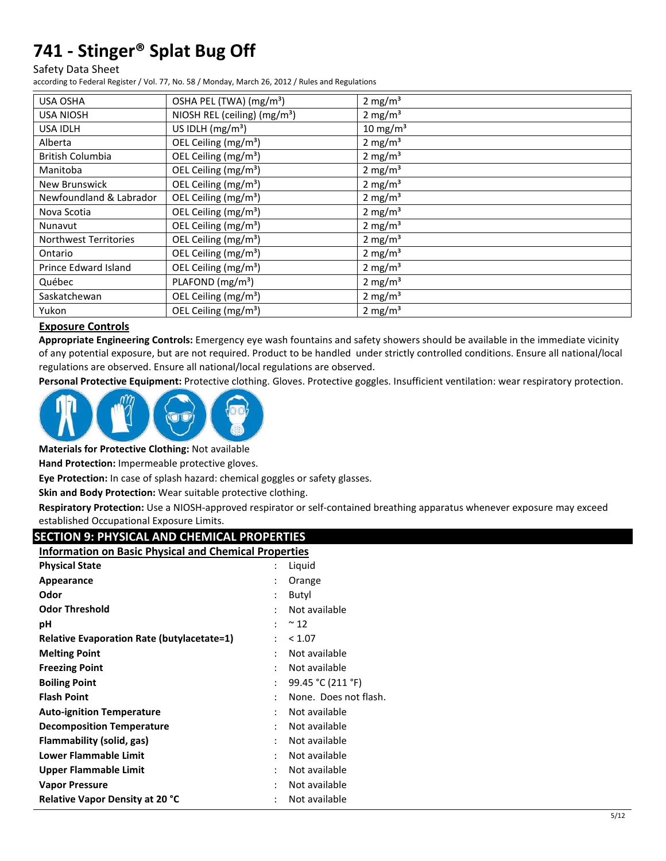#### Safety Data Sheet

according to Federal Register / Vol. 77, No. 58 / Monday, March 26, 2012 / Rules and Regulations

| <b>USA OSHA</b>              | OSHA PEL (TWA) (mg/m <sup>3</sup> ) | $2 \text{ mg/m}^3$   |
|------------------------------|-------------------------------------|----------------------|
| <b>USA NIOSH</b>             | NIOSH REL (ceiling) $(mg/m3)$       | 2 mg/m <sup>3</sup>  |
| <b>USA IDLH</b>              | US IDLH $(mg/m3)$                   | 10 mg/m <sup>3</sup> |
| Alberta                      | OEL Ceiling (mg/m <sup>3</sup> )    | 2 mg/m <sup>3</sup>  |
| <b>British Columbia</b>      | OEL Ceiling (mg/m <sup>3</sup> )    | 2 mg/m <sup>3</sup>  |
| Manitoba                     | OEL Ceiling (mg/m <sup>3</sup> )    | 2 mg/ $m3$           |
| New Brunswick                | OEL Ceiling (mg/m <sup>3</sup> )    | 2 mg/m <sup>3</sup>  |
| Newfoundland & Labrador      | OEL Ceiling $(mg/m3)$               | 2 mg/ $m3$           |
| Nova Scotia                  | OEL Ceiling (mg/m <sup>3</sup> )    | 2 mg/m <sup>3</sup>  |
| Nunavut                      | OEL Ceiling (mg/m <sup>3</sup> )    | 2 mg/m <sup>3</sup>  |
| <b>Northwest Territories</b> | OEL Ceiling (mg/m <sup>3</sup> )    | 2 mg/m <sup>3</sup>  |
| Ontario                      | OEL Ceiling (mg/m <sup>3</sup> )    | 2 mg/m <sup>3</sup>  |
| Prince Edward Island         | OEL Ceiling $(mg/m3)$               | 2 mg/m <sup>3</sup>  |
| Québec                       | PLAFOND (mg/m <sup>3</sup> )        | 2 mg/m <sup>3</sup>  |
| Saskatchewan                 | OEL Ceiling (mg/m <sup>3</sup> )    | $2 \text{ mg/m}^3$   |
| Yukon                        | OEL Ceiling (mg/m <sup>3</sup> )    | 2 mg/m <sup>3</sup>  |

## **Exposure Controls**

**Appropriate Engineering Controls:** Emergency eye wash fountains and safety showers should be available in the immediate vicinity of any potential exposure, but are not required. Product to be handled under strictly controlled conditions. Ensure all national/local regulations are observed. Ensure all national/local regulations are observed.

**Personal Protective Equipment:** Protective clothing. Gloves. Protective goggles. Insufficient ventilation: wear respiratory protection.



**Materials for Protective Clothing:** Not available

**Hand Protection:** Impermeable protective gloves.

**Eye Protection:** In case of splash hazard: chemical goggles or safety glasses.

**Skin and Body Protection:** Wear suitable protective clothing.

**Respiratory Protection:** Use a NIOSH-approved respirator or self-contained breathing apparatus whenever exposure may exceed established Occupational Exposure Limits.

| <b>SECTION 9: PHYSICAL AND CHEMICAL PROPERTIES</b>           |                      |                       |
|--------------------------------------------------------------|----------------------|-----------------------|
| <b>Information on Basic Physical and Chemical Properties</b> |                      |                       |
| <b>Physical State</b>                                        |                      | Liquid                |
| Appearance                                                   |                      | Orange                |
| Odor                                                         |                      | Butyl                 |
| <b>Odor Threshold</b>                                        |                      | Not available         |
| рH                                                           |                      | $~\sim$ 12            |
| <b>Relative Evaporation Rate (butylacetate=1)</b>            |                      | < 1.07                |
| <b>Melting Point</b>                                         |                      | Not available         |
| <b>Freezing Point</b>                                        |                      | Not available         |
| <b>Boiling Point</b>                                         | $\ddot{\phantom{a}}$ | 99.45 °C (211 °F)     |
| <b>Flash Point</b>                                           |                      | None. Does not flash. |
| <b>Auto-ignition Temperature</b>                             |                      | Not available         |
| <b>Decomposition Temperature</b>                             |                      | Not available         |
| Flammability (solid, gas)                                    |                      | Not available         |
| <b>Lower Flammable Limit</b>                                 |                      | Not available         |
| Upper Flammable Limit                                        |                      | Not available         |
| <b>Vapor Pressure</b>                                        |                      | Not available         |
| Relative Vapor Density at 20 °C                              |                      | Not available         |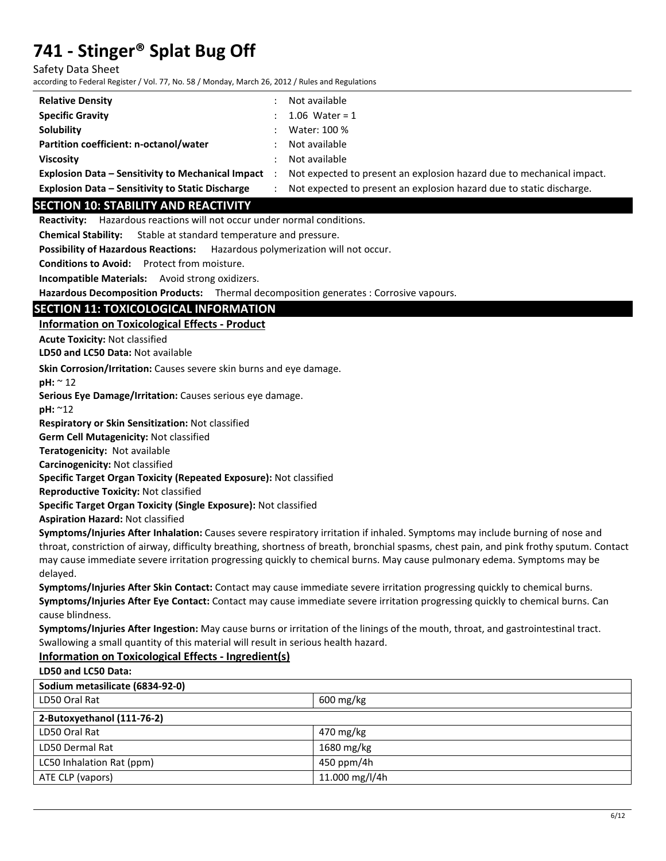Safety Data Sheet

according to Federal Register / Vol. 77, No. 58 / Monday, March 26, 2012 / Rules and Regulations

| <b>Relative Density</b>                                  | Not available                                                         |
|----------------------------------------------------------|-----------------------------------------------------------------------|
| <b>Specific Gravity</b>                                  | 1.06 Water = $1$                                                      |
| Solubility                                               | Water: 100 %                                                          |
| Partition coefficient: n-octanol/water                   | Not available                                                         |
| <b>Viscosity</b>                                         | Not available                                                         |
| <b>Explosion Data - Sensitivity to Mechanical Impact</b> | Not expected to present an explosion hazard due to mechanical impact. |
| <b>Explosion Data - Sensitivity to Static Discharge</b>  | Not expected to present an explosion hazard due to static discharge.  |

## **SECTION 10: STABILITY AND REACTIVITY**

**Reactivity:** Hazardous reactions will not occur under normal conditions.

**Chemical Stability:** Stable at standard temperature and pressure.

**Possibility of Hazardous Reactions:** Hazardous polymerization will not occur.

**Conditions to Avoid:** Protect from moisture.

**Incompatible Materials:** Avoid strong oxidizers.

**Hazardous Decomposition Products:** Thermal decomposition generates : Corrosive vapours.

## **SECTION 11: TOXICOLOGICAL INFORMATION**

**Information on Toxicological Effects - Product** 

**Acute Toxicity:** Not classified

**LD50 and LC50 Data:** Not available

**Skin Corrosion/Irritation:** Causes severe skin burns and eye damage.

**pH:** ~ 12

**Serious Eye Damage/Irritation:** Causes serious eye damage.

**pH:** ~12

**Respiratory or Skin Sensitization:** Not classified

**Germ Cell Mutagenicity:** Not classified

**Teratogenicity:** Not available

**Carcinogenicity:** Not classified

**Specific Target Organ Toxicity (Repeated Exposure):** Not classified

**Reproductive Toxicity:** Not classified

**Specific Target Organ Toxicity (Single Exposure):** Not classified

**Aspiration Hazard:** Not classified

**Symptoms/Injuries After Inhalation:** Causes severe respiratory irritation if inhaled. Symptoms may include burning of nose and throat, constriction of airway, difficulty breathing, shortness of breath, bronchial spasms, chest pain, and pink frothy sputum. Contact may cause immediate severe irritation progressing quickly to chemical burns. May cause pulmonary edema. Symptoms may be delayed.

**Symptoms/Injuries After Skin Contact:** Contact may cause immediate severe irritation progressing quickly to chemical burns. **Symptoms/Injuries After Eye Contact:** Contact may cause immediate severe irritation progressing quickly to chemical burns. Can cause blindness.

**Symptoms/Injuries After Ingestion:** May cause burns or irritation of the linings of the mouth, throat, and gastrointestinal tract. Swallowing a small quantity of this material will result in serious health hazard.

## **Information on Toxicological Effects - Ingredient(s)**

**LD50 and LC50 Data:**

| Sodium metasilicate (6834-92-0) |                        |  |
|---------------------------------|------------------------|--|
| LD50 Oral Rat                   | $600 \,\mathrm{mg/kg}$ |  |
| 2-Butoxyethanol (111-76-2)      |                        |  |
| LD50 Oral Rat                   | 470 mg/kg              |  |
| LD50 Dermal Rat                 | 1680 mg/kg             |  |
| LC50 Inhalation Rat (ppm)       | 450 ppm/4h             |  |
| ATE CLP (vapors)                | 11.000 mg/l/4h         |  |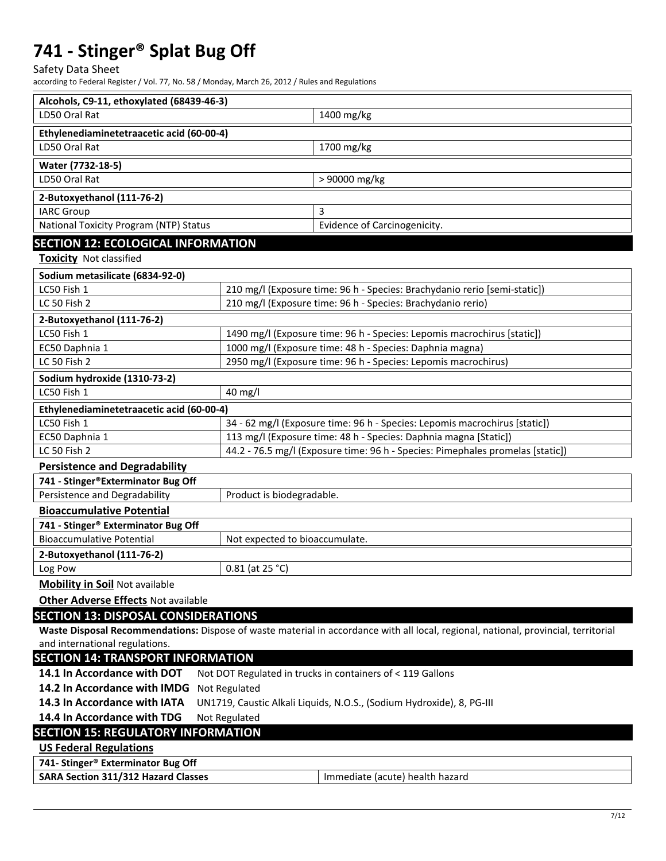Safety Data Sheet

according to Federal Register / Vol. 77, No. 58 / Monday, March 26, 2012 / Rules and Regulations

| LD50 Oral Rat<br>1400 mg/kg<br>Ethylenediaminetetraacetic acid (60-00-4)<br>LD50 Oral Rat<br>1700 mg/kg<br>Water (7732-18-5)<br>> 90000 mg/kg<br>LD50 Oral Rat<br>2-Butoxyethanol (111-76-2)<br>3<br><b>IARC Group</b><br>National Toxicity Program (NTP) Status<br>Evidence of Carcinogenicity.<br><b>SECTION 12: ECOLOGICAL INFORMATION</b><br><b>Toxicity Not classified</b><br>Sodium metasilicate (6834-92-0)<br>LC50 Fish 1<br>210 mg/l (Exposure time: 96 h - Species: Brachydanio rerio [semi-static])<br>LC 50 Fish 2<br>210 mg/l (Exposure time: 96 h - Species: Brachydanio rerio)<br>2-Butoxyethanol (111-76-2)<br>LC50 Fish 1<br>1490 mg/l (Exposure time: 96 h - Species: Lepomis macrochirus [static])<br>1000 mg/l (Exposure time: 48 h - Species: Daphnia magna)<br>EC50 Daphnia 1<br>LC 50 Fish 2<br>2950 mg/l (Exposure time: 96 h - Species: Lepomis macrochirus)<br>Sodium hydroxide (1310-73-2)<br>LC50 Fish 1<br>40 mg/l<br>Ethylenediaminetetraacetic acid (60-00-4)<br>LC50 Fish 1<br>34 - 62 mg/l (Exposure time: 96 h - Species: Lepomis macrochirus [static])<br>113 mg/l (Exposure time: 48 h - Species: Daphnia magna [Static])<br>EC50 Daphnia 1<br>44.2 - 76.5 mg/l (Exposure time: 96 h - Species: Pimephales promelas [static])<br>LC 50 Fish 2<br><b>Persistence and Degradability</b><br>741 - Stinger®Exterminator Bug Off<br>Persistence and Degradability<br>Product is biodegradable.<br><b>Bioaccumulative Potential</b><br>741 - Stinger® Exterminator Bug Off<br><b>Bioaccumulative Potential</b><br>Not expected to bioaccumulate.<br>2-Butoxyethanol (111-76-2)<br>Log Pow<br>$0.81$ (at 25 °C)<br><b>Mobility in Soil Not available</b><br><b>Other Adverse Effects Not available</b><br><b>SECTION 13: DISPOSAL CONSIDERATIONS</b><br>Waste Disposal Recommendations: Dispose of waste material in accordance with all local, regional, national, provincial, territorial<br>and international regulations.<br><b>SECTION 14: TRANSPORT INFORMATION</b><br>14.1 In Accordance with DOT<br>Not DOT Regulated in trucks in containers of < 119 Gallons<br>14.2 In Accordance with IMDG<br>Not Regulated<br>14.3 In Accordance with IATA<br>UN1719, Caustic Alkali Liquids, N.O.S., (Sodium Hydroxide), 8, PG-III<br>14.4 In Accordance with TDG<br>Not Regulated<br><b>SECTION 15: REGULATORY INFORMATION</b><br><b>US Federal Regulations</b><br>741- Stinger® Exterminator Bug Off<br>SARA Section 311/312 Hazard Classes<br>Immediate (acute) health hazard | Alcohols, C9-11, ethoxylated (68439-46-3) |  |  |
|-------------------------------------------------------------------------------------------------------------------------------------------------------------------------------------------------------------------------------------------------------------------------------------------------------------------------------------------------------------------------------------------------------------------------------------------------------------------------------------------------------------------------------------------------------------------------------------------------------------------------------------------------------------------------------------------------------------------------------------------------------------------------------------------------------------------------------------------------------------------------------------------------------------------------------------------------------------------------------------------------------------------------------------------------------------------------------------------------------------------------------------------------------------------------------------------------------------------------------------------------------------------------------------------------------------------------------------------------------------------------------------------------------------------------------------------------------------------------------------------------------------------------------------------------------------------------------------------------------------------------------------------------------------------------------------------------------------------------------------------------------------------------------------------------------------------------------------------------------------------------------------------------------------------------------------------------------------------------------------------------------------------------------------------------------------------------------------------------------------------------------------------------------------------------------------------------------------------------------------------------------------------------------------------------------------------------------------------------------------------------------------------------------------------------------------------------------------------------------------------------------------|-------------------------------------------|--|--|
|                                                                                                                                                                                                                                                                                                                                                                                                                                                                                                                                                                                                                                                                                                                                                                                                                                                                                                                                                                                                                                                                                                                                                                                                                                                                                                                                                                                                                                                                                                                                                                                                                                                                                                                                                                                                                                                                                                                                                                                                                                                                                                                                                                                                                                                                                                                                                                                                                                                                                                             |                                           |  |  |
|                                                                                                                                                                                                                                                                                                                                                                                                                                                                                                                                                                                                                                                                                                                                                                                                                                                                                                                                                                                                                                                                                                                                                                                                                                                                                                                                                                                                                                                                                                                                                                                                                                                                                                                                                                                                                                                                                                                                                                                                                                                                                                                                                                                                                                                                                                                                                                                                                                                                                                             |                                           |  |  |
|                                                                                                                                                                                                                                                                                                                                                                                                                                                                                                                                                                                                                                                                                                                                                                                                                                                                                                                                                                                                                                                                                                                                                                                                                                                                                                                                                                                                                                                                                                                                                                                                                                                                                                                                                                                                                                                                                                                                                                                                                                                                                                                                                                                                                                                                                                                                                                                                                                                                                                             |                                           |  |  |
|                                                                                                                                                                                                                                                                                                                                                                                                                                                                                                                                                                                                                                                                                                                                                                                                                                                                                                                                                                                                                                                                                                                                                                                                                                                                                                                                                                                                                                                                                                                                                                                                                                                                                                                                                                                                                                                                                                                                                                                                                                                                                                                                                                                                                                                                                                                                                                                                                                                                                                             |                                           |  |  |
|                                                                                                                                                                                                                                                                                                                                                                                                                                                                                                                                                                                                                                                                                                                                                                                                                                                                                                                                                                                                                                                                                                                                                                                                                                                                                                                                                                                                                                                                                                                                                                                                                                                                                                                                                                                                                                                                                                                                                                                                                                                                                                                                                                                                                                                                                                                                                                                                                                                                                                             |                                           |  |  |
|                                                                                                                                                                                                                                                                                                                                                                                                                                                                                                                                                                                                                                                                                                                                                                                                                                                                                                                                                                                                                                                                                                                                                                                                                                                                                                                                                                                                                                                                                                                                                                                                                                                                                                                                                                                                                                                                                                                                                                                                                                                                                                                                                                                                                                                                                                                                                                                                                                                                                                             |                                           |  |  |
|                                                                                                                                                                                                                                                                                                                                                                                                                                                                                                                                                                                                                                                                                                                                                                                                                                                                                                                                                                                                                                                                                                                                                                                                                                                                                                                                                                                                                                                                                                                                                                                                                                                                                                                                                                                                                                                                                                                                                                                                                                                                                                                                                                                                                                                                                                                                                                                                                                                                                                             |                                           |  |  |
|                                                                                                                                                                                                                                                                                                                                                                                                                                                                                                                                                                                                                                                                                                                                                                                                                                                                                                                                                                                                                                                                                                                                                                                                                                                                                                                                                                                                                                                                                                                                                                                                                                                                                                                                                                                                                                                                                                                                                                                                                                                                                                                                                                                                                                                                                                                                                                                                                                                                                                             |                                           |  |  |
|                                                                                                                                                                                                                                                                                                                                                                                                                                                                                                                                                                                                                                                                                                                                                                                                                                                                                                                                                                                                                                                                                                                                                                                                                                                                                                                                                                                                                                                                                                                                                                                                                                                                                                                                                                                                                                                                                                                                                                                                                                                                                                                                                                                                                                                                                                                                                                                                                                                                                                             |                                           |  |  |
|                                                                                                                                                                                                                                                                                                                                                                                                                                                                                                                                                                                                                                                                                                                                                                                                                                                                                                                                                                                                                                                                                                                                                                                                                                                                                                                                                                                                                                                                                                                                                                                                                                                                                                                                                                                                                                                                                                                                                                                                                                                                                                                                                                                                                                                                                                                                                                                                                                                                                                             |                                           |  |  |
|                                                                                                                                                                                                                                                                                                                                                                                                                                                                                                                                                                                                                                                                                                                                                                                                                                                                                                                                                                                                                                                                                                                                                                                                                                                                                                                                                                                                                                                                                                                                                                                                                                                                                                                                                                                                                                                                                                                                                                                                                                                                                                                                                                                                                                                                                                                                                                                                                                                                                                             |                                           |  |  |
|                                                                                                                                                                                                                                                                                                                                                                                                                                                                                                                                                                                                                                                                                                                                                                                                                                                                                                                                                                                                                                                                                                                                                                                                                                                                                                                                                                                                                                                                                                                                                                                                                                                                                                                                                                                                                                                                                                                                                                                                                                                                                                                                                                                                                                                                                                                                                                                                                                                                                                             |                                           |  |  |
|                                                                                                                                                                                                                                                                                                                                                                                                                                                                                                                                                                                                                                                                                                                                                                                                                                                                                                                                                                                                                                                                                                                                                                                                                                                                                                                                                                                                                                                                                                                                                                                                                                                                                                                                                                                                                                                                                                                                                                                                                                                                                                                                                                                                                                                                                                                                                                                                                                                                                                             |                                           |  |  |
|                                                                                                                                                                                                                                                                                                                                                                                                                                                                                                                                                                                                                                                                                                                                                                                                                                                                                                                                                                                                                                                                                                                                                                                                                                                                                                                                                                                                                                                                                                                                                                                                                                                                                                                                                                                                                                                                                                                                                                                                                                                                                                                                                                                                                                                                                                                                                                                                                                                                                                             |                                           |  |  |
|                                                                                                                                                                                                                                                                                                                                                                                                                                                                                                                                                                                                                                                                                                                                                                                                                                                                                                                                                                                                                                                                                                                                                                                                                                                                                                                                                                                                                                                                                                                                                                                                                                                                                                                                                                                                                                                                                                                                                                                                                                                                                                                                                                                                                                                                                                                                                                                                                                                                                                             |                                           |  |  |
|                                                                                                                                                                                                                                                                                                                                                                                                                                                                                                                                                                                                                                                                                                                                                                                                                                                                                                                                                                                                                                                                                                                                                                                                                                                                                                                                                                                                                                                                                                                                                                                                                                                                                                                                                                                                                                                                                                                                                                                                                                                                                                                                                                                                                                                                                                                                                                                                                                                                                                             |                                           |  |  |
|                                                                                                                                                                                                                                                                                                                                                                                                                                                                                                                                                                                                                                                                                                                                                                                                                                                                                                                                                                                                                                                                                                                                                                                                                                                                                                                                                                                                                                                                                                                                                                                                                                                                                                                                                                                                                                                                                                                                                                                                                                                                                                                                                                                                                                                                                                                                                                                                                                                                                                             |                                           |  |  |
|                                                                                                                                                                                                                                                                                                                                                                                                                                                                                                                                                                                                                                                                                                                                                                                                                                                                                                                                                                                                                                                                                                                                                                                                                                                                                                                                                                                                                                                                                                                                                                                                                                                                                                                                                                                                                                                                                                                                                                                                                                                                                                                                                                                                                                                                                                                                                                                                                                                                                                             |                                           |  |  |
|                                                                                                                                                                                                                                                                                                                                                                                                                                                                                                                                                                                                                                                                                                                                                                                                                                                                                                                                                                                                                                                                                                                                                                                                                                                                                                                                                                                                                                                                                                                                                                                                                                                                                                                                                                                                                                                                                                                                                                                                                                                                                                                                                                                                                                                                                                                                                                                                                                                                                                             |                                           |  |  |
|                                                                                                                                                                                                                                                                                                                                                                                                                                                                                                                                                                                                                                                                                                                                                                                                                                                                                                                                                                                                                                                                                                                                                                                                                                                                                                                                                                                                                                                                                                                                                                                                                                                                                                                                                                                                                                                                                                                                                                                                                                                                                                                                                                                                                                                                                                                                                                                                                                                                                                             |                                           |  |  |
|                                                                                                                                                                                                                                                                                                                                                                                                                                                                                                                                                                                                                                                                                                                                                                                                                                                                                                                                                                                                                                                                                                                                                                                                                                                                                                                                                                                                                                                                                                                                                                                                                                                                                                                                                                                                                                                                                                                                                                                                                                                                                                                                                                                                                                                                                                                                                                                                                                                                                                             |                                           |  |  |
|                                                                                                                                                                                                                                                                                                                                                                                                                                                                                                                                                                                                                                                                                                                                                                                                                                                                                                                                                                                                                                                                                                                                                                                                                                                                                                                                                                                                                                                                                                                                                                                                                                                                                                                                                                                                                                                                                                                                                                                                                                                                                                                                                                                                                                                                                                                                                                                                                                                                                                             |                                           |  |  |
|                                                                                                                                                                                                                                                                                                                                                                                                                                                                                                                                                                                                                                                                                                                                                                                                                                                                                                                                                                                                                                                                                                                                                                                                                                                                                                                                                                                                                                                                                                                                                                                                                                                                                                                                                                                                                                                                                                                                                                                                                                                                                                                                                                                                                                                                                                                                                                                                                                                                                                             |                                           |  |  |
|                                                                                                                                                                                                                                                                                                                                                                                                                                                                                                                                                                                                                                                                                                                                                                                                                                                                                                                                                                                                                                                                                                                                                                                                                                                                                                                                                                                                                                                                                                                                                                                                                                                                                                                                                                                                                                                                                                                                                                                                                                                                                                                                                                                                                                                                                                                                                                                                                                                                                                             |                                           |  |  |
|                                                                                                                                                                                                                                                                                                                                                                                                                                                                                                                                                                                                                                                                                                                                                                                                                                                                                                                                                                                                                                                                                                                                                                                                                                                                                                                                                                                                                                                                                                                                                                                                                                                                                                                                                                                                                                                                                                                                                                                                                                                                                                                                                                                                                                                                                                                                                                                                                                                                                                             |                                           |  |  |
|                                                                                                                                                                                                                                                                                                                                                                                                                                                                                                                                                                                                                                                                                                                                                                                                                                                                                                                                                                                                                                                                                                                                                                                                                                                                                                                                                                                                                                                                                                                                                                                                                                                                                                                                                                                                                                                                                                                                                                                                                                                                                                                                                                                                                                                                                                                                                                                                                                                                                                             |                                           |  |  |
|                                                                                                                                                                                                                                                                                                                                                                                                                                                                                                                                                                                                                                                                                                                                                                                                                                                                                                                                                                                                                                                                                                                                                                                                                                                                                                                                                                                                                                                                                                                                                                                                                                                                                                                                                                                                                                                                                                                                                                                                                                                                                                                                                                                                                                                                                                                                                                                                                                                                                                             |                                           |  |  |
|                                                                                                                                                                                                                                                                                                                                                                                                                                                                                                                                                                                                                                                                                                                                                                                                                                                                                                                                                                                                                                                                                                                                                                                                                                                                                                                                                                                                                                                                                                                                                                                                                                                                                                                                                                                                                                                                                                                                                                                                                                                                                                                                                                                                                                                                                                                                                                                                                                                                                                             |                                           |  |  |
|                                                                                                                                                                                                                                                                                                                                                                                                                                                                                                                                                                                                                                                                                                                                                                                                                                                                                                                                                                                                                                                                                                                                                                                                                                                                                                                                                                                                                                                                                                                                                                                                                                                                                                                                                                                                                                                                                                                                                                                                                                                                                                                                                                                                                                                                                                                                                                                                                                                                                                             |                                           |  |  |
|                                                                                                                                                                                                                                                                                                                                                                                                                                                                                                                                                                                                                                                                                                                                                                                                                                                                                                                                                                                                                                                                                                                                                                                                                                                                                                                                                                                                                                                                                                                                                                                                                                                                                                                                                                                                                                                                                                                                                                                                                                                                                                                                                                                                                                                                                                                                                                                                                                                                                                             |                                           |  |  |
|                                                                                                                                                                                                                                                                                                                                                                                                                                                                                                                                                                                                                                                                                                                                                                                                                                                                                                                                                                                                                                                                                                                                                                                                                                                                                                                                                                                                                                                                                                                                                                                                                                                                                                                                                                                                                                                                                                                                                                                                                                                                                                                                                                                                                                                                                                                                                                                                                                                                                                             |                                           |  |  |
|                                                                                                                                                                                                                                                                                                                                                                                                                                                                                                                                                                                                                                                                                                                                                                                                                                                                                                                                                                                                                                                                                                                                                                                                                                                                                                                                                                                                                                                                                                                                                                                                                                                                                                                                                                                                                                                                                                                                                                                                                                                                                                                                                                                                                                                                                                                                                                                                                                                                                                             |                                           |  |  |
|                                                                                                                                                                                                                                                                                                                                                                                                                                                                                                                                                                                                                                                                                                                                                                                                                                                                                                                                                                                                                                                                                                                                                                                                                                                                                                                                                                                                                                                                                                                                                                                                                                                                                                                                                                                                                                                                                                                                                                                                                                                                                                                                                                                                                                                                                                                                                                                                                                                                                                             |                                           |  |  |
|                                                                                                                                                                                                                                                                                                                                                                                                                                                                                                                                                                                                                                                                                                                                                                                                                                                                                                                                                                                                                                                                                                                                                                                                                                                                                                                                                                                                                                                                                                                                                                                                                                                                                                                                                                                                                                                                                                                                                                                                                                                                                                                                                                                                                                                                                                                                                                                                                                                                                                             |                                           |  |  |
|                                                                                                                                                                                                                                                                                                                                                                                                                                                                                                                                                                                                                                                                                                                                                                                                                                                                                                                                                                                                                                                                                                                                                                                                                                                                                                                                                                                                                                                                                                                                                                                                                                                                                                                                                                                                                                                                                                                                                                                                                                                                                                                                                                                                                                                                                                                                                                                                                                                                                                             |                                           |  |  |
|                                                                                                                                                                                                                                                                                                                                                                                                                                                                                                                                                                                                                                                                                                                                                                                                                                                                                                                                                                                                                                                                                                                                                                                                                                                                                                                                                                                                                                                                                                                                                                                                                                                                                                                                                                                                                                                                                                                                                                                                                                                                                                                                                                                                                                                                                                                                                                                                                                                                                                             |                                           |  |  |
|                                                                                                                                                                                                                                                                                                                                                                                                                                                                                                                                                                                                                                                                                                                                                                                                                                                                                                                                                                                                                                                                                                                                                                                                                                                                                                                                                                                                                                                                                                                                                                                                                                                                                                                                                                                                                                                                                                                                                                                                                                                                                                                                                                                                                                                                                                                                                                                                                                                                                                             |                                           |  |  |
|                                                                                                                                                                                                                                                                                                                                                                                                                                                                                                                                                                                                                                                                                                                                                                                                                                                                                                                                                                                                                                                                                                                                                                                                                                                                                                                                                                                                                                                                                                                                                                                                                                                                                                                                                                                                                                                                                                                                                                                                                                                                                                                                                                                                                                                                                                                                                                                                                                                                                                             |                                           |  |  |
|                                                                                                                                                                                                                                                                                                                                                                                                                                                                                                                                                                                                                                                                                                                                                                                                                                                                                                                                                                                                                                                                                                                                                                                                                                                                                                                                                                                                                                                                                                                                                                                                                                                                                                                                                                                                                                                                                                                                                                                                                                                                                                                                                                                                                                                                                                                                                                                                                                                                                                             |                                           |  |  |
|                                                                                                                                                                                                                                                                                                                                                                                                                                                                                                                                                                                                                                                                                                                                                                                                                                                                                                                                                                                                                                                                                                                                                                                                                                                                                                                                                                                                                                                                                                                                                                                                                                                                                                                                                                                                                                                                                                                                                                                                                                                                                                                                                                                                                                                                                                                                                                                                                                                                                                             |                                           |  |  |
|                                                                                                                                                                                                                                                                                                                                                                                                                                                                                                                                                                                                                                                                                                                                                                                                                                                                                                                                                                                                                                                                                                                                                                                                                                                                                                                                                                                                                                                                                                                                                                                                                                                                                                                                                                                                                                                                                                                                                                                                                                                                                                                                                                                                                                                                                                                                                                                                                                                                                                             |                                           |  |  |
|                                                                                                                                                                                                                                                                                                                                                                                                                                                                                                                                                                                                                                                                                                                                                                                                                                                                                                                                                                                                                                                                                                                                                                                                                                                                                                                                                                                                                                                                                                                                                                                                                                                                                                                                                                                                                                                                                                                                                                                                                                                                                                                                                                                                                                                                                                                                                                                                                                                                                                             |                                           |  |  |
|                                                                                                                                                                                                                                                                                                                                                                                                                                                                                                                                                                                                                                                                                                                                                                                                                                                                                                                                                                                                                                                                                                                                                                                                                                                                                                                                                                                                                                                                                                                                                                                                                                                                                                                                                                                                                                                                                                                                                                                                                                                                                                                                                                                                                                                                                                                                                                                                                                                                                                             |                                           |  |  |
|                                                                                                                                                                                                                                                                                                                                                                                                                                                                                                                                                                                                                                                                                                                                                                                                                                                                                                                                                                                                                                                                                                                                                                                                                                                                                                                                                                                                                                                                                                                                                                                                                                                                                                                                                                                                                                                                                                                                                                                                                                                                                                                                                                                                                                                                                                                                                                                                                                                                                                             |                                           |  |  |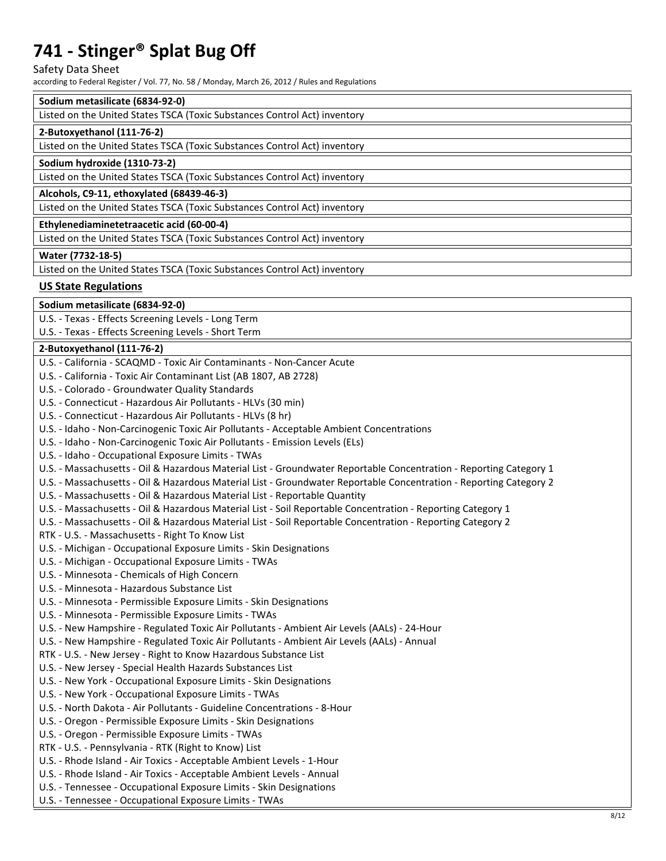Safety Data Sheet

according to Federal Register / Vol. 77, No. 58 / Monday, March 26, 2012 / Rules and Regulations

## **Sodium metasilicate (6834-92-0)**

| Listed on the United States TSCA (Toxic Substances Control Act) inventory |  |  |
|---------------------------------------------------------------------------|--|--|
|                                                                           |  |  |

#### **2-Butoxyethanol (111-76-2)**

Listed on the United States TSCA (Toxic Substances Control Act) inventory

#### **Sodium hydroxide (1310-73-2)**

Listed on the United States TSCA (Toxic Substances Control Act) inventory

#### **Alcohols, C9-11, ethoxylated (68439-46-3)**

Listed on the United States TSCA (Toxic Substances Control Act) inventory

#### **Ethylenediaminetetraacetic acid (60-00-4)**

Listed on the United States TSCA (Toxic Substances Control Act) inventory

#### **Water (7732-18-5)**

Listed on the United States TSCA (Toxic Substances Control Act) inventory

### **US State Regulations**

## **Sodium metasilicate (6834-92-0)**

U.S. - Texas - Effects Screening Levels - Long Term

U.S. - Texas - Effects Screening Levels - Short Term

#### **2-Butoxyethanol (111-76-2)**

| U.S. - California - SCAQMD - Toxic Air Contaminants - Non-Cancer Acute                                             |
|--------------------------------------------------------------------------------------------------------------------|
| U.S. - California - Toxic Air Contaminant List (AB 1807, AB 2728)                                                  |
| U.S. - Colorado - Groundwater Quality Standards                                                                    |
| U.S. - Connecticut - Hazardous Air Pollutants - HLVs (30 min)                                                      |
| U.S. - Connecticut - Hazardous Air Pollutants - HLVs (8 hr)                                                        |
| U.S. - Idaho - Non-Carcinogenic Toxic Air Pollutants - Acceptable Ambient Concentrations                           |
| U.S. - Idaho - Non-Carcinogenic Toxic Air Pollutants - Emission Levels (ELs)                                       |
| U.S. - Idaho - Occupational Exposure Limits - TWAs                                                                 |
| U.S. - Massachusetts - Oil & Hazardous Material List - Groundwater Reportable Concentration - Reporting Category 1 |
| U.S. - Massachusetts - Oil & Hazardous Material List - Groundwater Reportable Concentration - Reporting Category 2 |
| U.S. - Massachusetts - Oil & Hazardous Material List - Reportable Quantity                                         |
| U.S. - Massachusetts - Oil & Hazardous Material List - Soil Reportable Concentration - Reporting Category 1        |
| U.S. - Massachusetts - Oil & Hazardous Material List - Soil Reportable Concentration - Reporting Category 2        |
| RTK - U.S. - Massachusetts - Right To Know List                                                                    |
| U.S. - Michigan - Occupational Exposure Limits - Skin Designations                                                 |
| U.S. - Michigan - Occupational Exposure Limits - TWAs                                                              |
| U.S. - Minnesota - Chemicals of High Concern                                                                       |
| U.S. - Minnesota - Hazardous Substance List                                                                        |
| U.S. - Minnesota - Permissible Exposure Limits - Skin Designations                                                 |
| U.S. - Minnesota - Permissible Exposure Limits - TWAs                                                              |
| U.S. - New Hampshire - Regulated Toxic Air Pollutants - Ambient Air Levels (AALs) - 24-Hour                        |
| U.S. - New Hampshire - Regulated Toxic Air Pollutants - Ambient Air Levels (AALs) - Annual                         |
| RTK - U.S. - New Jersey - Right to Know Hazardous Substance List                                                   |
| U.S. - New Jersey - Special Health Hazards Substances List                                                         |
| U.S. - New York - Occupational Exposure Limits - Skin Designations                                                 |
| U.S. - New York - Occupational Exposure Limits - TWAs                                                              |
| U.S. - North Dakota - Air Pollutants - Guideline Concentrations - 8-Hour                                           |
| U.S. - Oregon - Permissible Exposure Limits - Skin Designations                                                    |
| U.S. - Oregon - Permissible Exposure Limits - TWAs                                                                 |
| RTK - U.S. - Pennsylvania - RTK (Right to Know) List                                                               |
| U.S. - Rhode Island - Air Toxics - Acceptable Ambient Levels - 1-Hour                                              |
| U.S. - Rhode Island - Air Toxics - Acceptable Ambient Levels - Annual                                              |
| U.S. - Tennessee - Occupational Exposure Limits - Skin Designations                                                |
| U.S. - Tennessee - Occupational Exposure Limits - TWAs                                                             |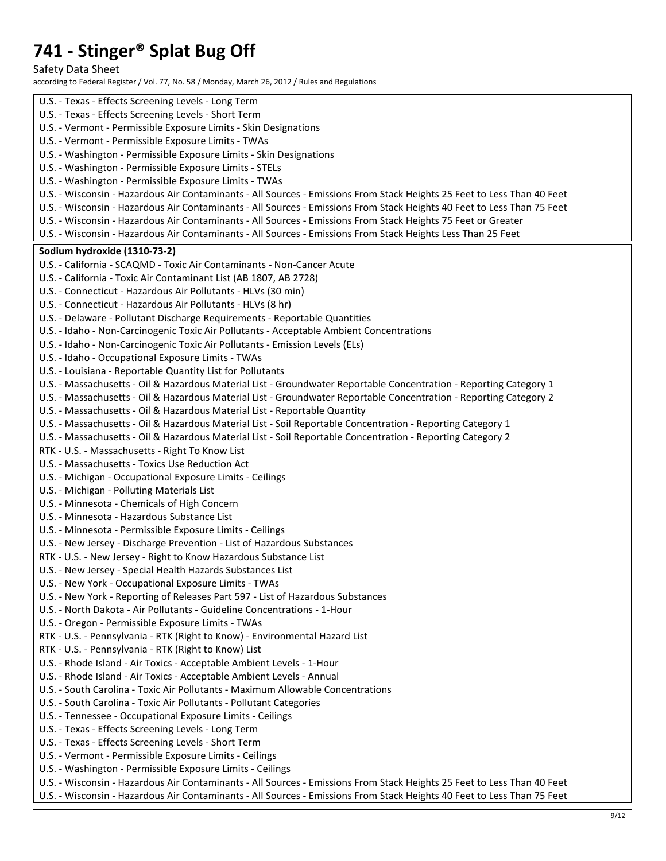Safety Data Sheet

according to Federal Register / Vol. 77, No. 58 / Monday, March 26, 2012 / Rules and Regulations

| U.S. - Texas - Effects Screening Levels - Short Term<br>U.S. - Vermont - Permissible Exposure Limits - Skin Designations<br>U.S. - Vermont - Permissible Exposure Limits - TWAs<br>U.S. - Washington - Permissible Exposure Limits - Skin Designations<br>U.S. - Washington - Permissible Exposure Limits - STELs<br>U.S. - Washington - Permissible Exposure Limits - TWAs<br>U.S. - Wisconsin - Hazardous Air Contaminants - All Sources - Emissions From Stack Heights 25 Feet to Less Than 40 Feet<br>U.S. - Wisconsin - Hazardous Air Contaminants - All Sources - Emissions From Stack Heights 40 Feet to Less Than 75 Feet<br>U.S. - Wisconsin - Hazardous Air Contaminants - All Sources - Emissions From Stack Heights 75 Feet or Greater<br>U.S. - Wisconsin - Hazardous Air Contaminants - All Sources - Emissions From Stack Heights Less Than 25 Feet<br>Sodium hydroxide (1310-73-2)<br>U.S. - California - SCAQMD - Toxic Air Contaminants - Non-Cancer Acute<br>U.S. - California - Toxic Air Contaminant List (AB 1807, AB 2728)<br>U.S. - Connecticut - Hazardous Air Pollutants - HLVs (30 min)<br>U.S. - Connecticut - Hazardous Air Pollutants - HLVs (8 hr)<br>U.S. - Delaware - Pollutant Discharge Requirements - Reportable Quantities<br>U.S. - Idaho - Non-Carcinogenic Toxic Air Pollutants - Acceptable Ambient Concentrations<br>U.S. - Idaho - Non-Carcinogenic Toxic Air Pollutants - Emission Levels (ELs)<br>U.S. - Idaho - Occupational Exposure Limits - TWAs<br>U.S. - Louisiana - Reportable Quantity List for Pollutants<br>U.S. - Massachusetts - Oil & Hazardous Material List - Groundwater Reportable Concentration - Reporting Category 1<br>U.S. - Massachusetts - Oil & Hazardous Material List - Groundwater Reportable Concentration - Reporting Category 2<br>U.S. - Massachusetts - Oil & Hazardous Material List - Reportable Quantity<br>U.S. - Massachusetts - Oil & Hazardous Material List - Soil Reportable Concentration - Reporting Category 1<br>U.S. - Massachusetts - Oil & Hazardous Material List - Soil Reportable Concentration - Reporting Category 2<br>RTK - U.S. - Massachusetts - Right To Know List<br>U.S. - Massachusetts - Toxics Use Reduction Act<br>U.S. - Michigan - Occupational Exposure Limits - Ceilings<br>U.S. - Michigan - Polluting Materials List<br>U.S. - Minnesota - Chemicals of High Concern<br>U.S. - Minnesota - Hazardous Substance List<br>U.S. - Minnesota - Permissible Exposure Limits - Ceilings<br>U.S. - New Jersey - Discharge Prevention - List of Hazardous Substances<br>RTK - U.S. - New Jersey - Right to Know Hazardous Substance List<br>U.S. - New Jersey - Special Health Hazards Substances List<br>U.S. - New York - Occupational Exposure Limits - TWAs<br>U.S. - New York - Reporting of Releases Part 597 - List of Hazardous Substances<br>U.S. - North Dakota - Air Pollutants - Guideline Concentrations - 1-Hour<br>U.S. - Oregon - Permissible Exposure Limits - TWAs<br>RTK - U.S. - Pennsylvania - RTK (Right to Know) - Environmental Hazard List<br>RTK - U.S. - Pennsylvania - RTK (Right to Know) List<br>U.S. - Rhode Island - Air Toxics - Acceptable Ambient Levels - 1-Hour<br>U.S. - Rhode Island - Air Toxics - Acceptable Ambient Levels - Annual<br>U.S. - South Carolina - Toxic Air Pollutants - Maximum Allowable Concentrations<br>U.S. - South Carolina - Toxic Air Pollutants - Pollutant Categories<br>U.S. - Tennessee - Occupational Exposure Limits - Ceilings<br>U.S. - Texas - Effects Screening Levels - Long Term<br>U.S. - Texas - Effects Screening Levels - Short Term<br>U.S. - Vermont - Permissible Exposure Limits - Ceilings<br>U.S. - Washington - Permissible Exposure Limits - Ceilings<br>U.S. - Wisconsin - Hazardous Air Contaminants - All Sources - Emissions From Stack Heights 25 Feet to Less Than 40 Feet | U.S. - Texas - Effects Screening Levels - Long Term                                                                     |
|-------------------------------------------------------------------------------------------------------------------------------------------------------------------------------------------------------------------------------------------------------------------------------------------------------------------------------------------------------------------------------------------------------------------------------------------------------------------------------------------------------------------------------------------------------------------------------------------------------------------------------------------------------------------------------------------------------------------------------------------------------------------------------------------------------------------------------------------------------------------------------------------------------------------------------------------------------------------------------------------------------------------------------------------------------------------------------------------------------------------------------------------------------------------------------------------------------------------------------------------------------------------------------------------------------------------------------------------------------------------------------------------------------------------------------------------------------------------------------------------------------------------------------------------------------------------------------------------------------------------------------------------------------------------------------------------------------------------------------------------------------------------------------------------------------------------------------------------------------------------------------------------------------------------------------------------------------------------------------------------------------------------------------------------------------------------------------------------------------------------------------------------------------------------------------------------------------------------------------------------------------------------------------------------------------------------------------------------------------------------------------------------------------------------------------------------------------------------------------------------------------------------------------------------------------------------------------------------------------------------------------------------------------------------------------------------------------------------------------------------------------------------------------------------------------------------------------------------------------------------------------------------------------------------------------------------------------------------------------------------------------------------------------------------------------------------------------------------------------------------------------------------------------------------------------------------------------------------------------------------------------------------------------------------------------------------------------------------------------------------------------------------------------------------------------------------------------------------------------------------------------------------------------------------------------------------------------------------------------------------------------------------------------------------------------------------------------------------------------------------------------------------------------------------------------------------------------------------------------------------------------------|-------------------------------------------------------------------------------------------------------------------------|
|                                                                                                                                                                                                                                                                                                                                                                                                                                                                                                                                                                                                                                                                                                                                                                                                                                                                                                                                                                                                                                                                                                                                                                                                                                                                                                                                                                                                                                                                                                                                                                                                                                                                                                                                                                                                                                                                                                                                                                                                                                                                                                                                                                                                                                                                                                                                                                                                                                                                                                                                                                                                                                                                                                                                                                                                                                                                                                                                                                                                                                                                                                                                                                                                                                                                                                                                                                                                                                                                                                                                                                                                                                                                                                                                                                                                                                                                                     |                                                                                                                         |
|                                                                                                                                                                                                                                                                                                                                                                                                                                                                                                                                                                                                                                                                                                                                                                                                                                                                                                                                                                                                                                                                                                                                                                                                                                                                                                                                                                                                                                                                                                                                                                                                                                                                                                                                                                                                                                                                                                                                                                                                                                                                                                                                                                                                                                                                                                                                                                                                                                                                                                                                                                                                                                                                                                                                                                                                                                                                                                                                                                                                                                                                                                                                                                                                                                                                                                                                                                                                                                                                                                                                                                                                                                                                                                                                                                                                                                                                                     |                                                                                                                         |
|                                                                                                                                                                                                                                                                                                                                                                                                                                                                                                                                                                                                                                                                                                                                                                                                                                                                                                                                                                                                                                                                                                                                                                                                                                                                                                                                                                                                                                                                                                                                                                                                                                                                                                                                                                                                                                                                                                                                                                                                                                                                                                                                                                                                                                                                                                                                                                                                                                                                                                                                                                                                                                                                                                                                                                                                                                                                                                                                                                                                                                                                                                                                                                                                                                                                                                                                                                                                                                                                                                                                                                                                                                                                                                                                                                                                                                                                                     |                                                                                                                         |
|                                                                                                                                                                                                                                                                                                                                                                                                                                                                                                                                                                                                                                                                                                                                                                                                                                                                                                                                                                                                                                                                                                                                                                                                                                                                                                                                                                                                                                                                                                                                                                                                                                                                                                                                                                                                                                                                                                                                                                                                                                                                                                                                                                                                                                                                                                                                                                                                                                                                                                                                                                                                                                                                                                                                                                                                                                                                                                                                                                                                                                                                                                                                                                                                                                                                                                                                                                                                                                                                                                                                                                                                                                                                                                                                                                                                                                                                                     |                                                                                                                         |
|                                                                                                                                                                                                                                                                                                                                                                                                                                                                                                                                                                                                                                                                                                                                                                                                                                                                                                                                                                                                                                                                                                                                                                                                                                                                                                                                                                                                                                                                                                                                                                                                                                                                                                                                                                                                                                                                                                                                                                                                                                                                                                                                                                                                                                                                                                                                                                                                                                                                                                                                                                                                                                                                                                                                                                                                                                                                                                                                                                                                                                                                                                                                                                                                                                                                                                                                                                                                                                                                                                                                                                                                                                                                                                                                                                                                                                                                                     |                                                                                                                         |
|                                                                                                                                                                                                                                                                                                                                                                                                                                                                                                                                                                                                                                                                                                                                                                                                                                                                                                                                                                                                                                                                                                                                                                                                                                                                                                                                                                                                                                                                                                                                                                                                                                                                                                                                                                                                                                                                                                                                                                                                                                                                                                                                                                                                                                                                                                                                                                                                                                                                                                                                                                                                                                                                                                                                                                                                                                                                                                                                                                                                                                                                                                                                                                                                                                                                                                                                                                                                                                                                                                                                                                                                                                                                                                                                                                                                                                                                                     |                                                                                                                         |
|                                                                                                                                                                                                                                                                                                                                                                                                                                                                                                                                                                                                                                                                                                                                                                                                                                                                                                                                                                                                                                                                                                                                                                                                                                                                                                                                                                                                                                                                                                                                                                                                                                                                                                                                                                                                                                                                                                                                                                                                                                                                                                                                                                                                                                                                                                                                                                                                                                                                                                                                                                                                                                                                                                                                                                                                                                                                                                                                                                                                                                                                                                                                                                                                                                                                                                                                                                                                                                                                                                                                                                                                                                                                                                                                                                                                                                                                                     |                                                                                                                         |
|                                                                                                                                                                                                                                                                                                                                                                                                                                                                                                                                                                                                                                                                                                                                                                                                                                                                                                                                                                                                                                                                                                                                                                                                                                                                                                                                                                                                                                                                                                                                                                                                                                                                                                                                                                                                                                                                                                                                                                                                                                                                                                                                                                                                                                                                                                                                                                                                                                                                                                                                                                                                                                                                                                                                                                                                                                                                                                                                                                                                                                                                                                                                                                                                                                                                                                                                                                                                                                                                                                                                                                                                                                                                                                                                                                                                                                                                                     |                                                                                                                         |
|                                                                                                                                                                                                                                                                                                                                                                                                                                                                                                                                                                                                                                                                                                                                                                                                                                                                                                                                                                                                                                                                                                                                                                                                                                                                                                                                                                                                                                                                                                                                                                                                                                                                                                                                                                                                                                                                                                                                                                                                                                                                                                                                                                                                                                                                                                                                                                                                                                                                                                                                                                                                                                                                                                                                                                                                                                                                                                                                                                                                                                                                                                                                                                                                                                                                                                                                                                                                                                                                                                                                                                                                                                                                                                                                                                                                                                                                                     |                                                                                                                         |
|                                                                                                                                                                                                                                                                                                                                                                                                                                                                                                                                                                                                                                                                                                                                                                                                                                                                                                                                                                                                                                                                                                                                                                                                                                                                                                                                                                                                                                                                                                                                                                                                                                                                                                                                                                                                                                                                                                                                                                                                                                                                                                                                                                                                                                                                                                                                                                                                                                                                                                                                                                                                                                                                                                                                                                                                                                                                                                                                                                                                                                                                                                                                                                                                                                                                                                                                                                                                                                                                                                                                                                                                                                                                                                                                                                                                                                                                                     |                                                                                                                         |
|                                                                                                                                                                                                                                                                                                                                                                                                                                                                                                                                                                                                                                                                                                                                                                                                                                                                                                                                                                                                                                                                                                                                                                                                                                                                                                                                                                                                                                                                                                                                                                                                                                                                                                                                                                                                                                                                                                                                                                                                                                                                                                                                                                                                                                                                                                                                                                                                                                                                                                                                                                                                                                                                                                                                                                                                                                                                                                                                                                                                                                                                                                                                                                                                                                                                                                                                                                                                                                                                                                                                                                                                                                                                                                                                                                                                                                                                                     |                                                                                                                         |
|                                                                                                                                                                                                                                                                                                                                                                                                                                                                                                                                                                                                                                                                                                                                                                                                                                                                                                                                                                                                                                                                                                                                                                                                                                                                                                                                                                                                                                                                                                                                                                                                                                                                                                                                                                                                                                                                                                                                                                                                                                                                                                                                                                                                                                                                                                                                                                                                                                                                                                                                                                                                                                                                                                                                                                                                                                                                                                                                                                                                                                                                                                                                                                                                                                                                                                                                                                                                                                                                                                                                                                                                                                                                                                                                                                                                                                                                                     |                                                                                                                         |
|                                                                                                                                                                                                                                                                                                                                                                                                                                                                                                                                                                                                                                                                                                                                                                                                                                                                                                                                                                                                                                                                                                                                                                                                                                                                                                                                                                                                                                                                                                                                                                                                                                                                                                                                                                                                                                                                                                                                                                                                                                                                                                                                                                                                                                                                                                                                                                                                                                                                                                                                                                                                                                                                                                                                                                                                                                                                                                                                                                                                                                                                                                                                                                                                                                                                                                                                                                                                                                                                                                                                                                                                                                                                                                                                                                                                                                                                                     |                                                                                                                         |
|                                                                                                                                                                                                                                                                                                                                                                                                                                                                                                                                                                                                                                                                                                                                                                                                                                                                                                                                                                                                                                                                                                                                                                                                                                                                                                                                                                                                                                                                                                                                                                                                                                                                                                                                                                                                                                                                                                                                                                                                                                                                                                                                                                                                                                                                                                                                                                                                                                                                                                                                                                                                                                                                                                                                                                                                                                                                                                                                                                                                                                                                                                                                                                                                                                                                                                                                                                                                                                                                                                                                                                                                                                                                                                                                                                                                                                                                                     |                                                                                                                         |
|                                                                                                                                                                                                                                                                                                                                                                                                                                                                                                                                                                                                                                                                                                                                                                                                                                                                                                                                                                                                                                                                                                                                                                                                                                                                                                                                                                                                                                                                                                                                                                                                                                                                                                                                                                                                                                                                                                                                                                                                                                                                                                                                                                                                                                                                                                                                                                                                                                                                                                                                                                                                                                                                                                                                                                                                                                                                                                                                                                                                                                                                                                                                                                                                                                                                                                                                                                                                                                                                                                                                                                                                                                                                                                                                                                                                                                                                                     |                                                                                                                         |
|                                                                                                                                                                                                                                                                                                                                                                                                                                                                                                                                                                                                                                                                                                                                                                                                                                                                                                                                                                                                                                                                                                                                                                                                                                                                                                                                                                                                                                                                                                                                                                                                                                                                                                                                                                                                                                                                                                                                                                                                                                                                                                                                                                                                                                                                                                                                                                                                                                                                                                                                                                                                                                                                                                                                                                                                                                                                                                                                                                                                                                                                                                                                                                                                                                                                                                                                                                                                                                                                                                                                                                                                                                                                                                                                                                                                                                                                                     |                                                                                                                         |
|                                                                                                                                                                                                                                                                                                                                                                                                                                                                                                                                                                                                                                                                                                                                                                                                                                                                                                                                                                                                                                                                                                                                                                                                                                                                                                                                                                                                                                                                                                                                                                                                                                                                                                                                                                                                                                                                                                                                                                                                                                                                                                                                                                                                                                                                                                                                                                                                                                                                                                                                                                                                                                                                                                                                                                                                                                                                                                                                                                                                                                                                                                                                                                                                                                                                                                                                                                                                                                                                                                                                                                                                                                                                                                                                                                                                                                                                                     |                                                                                                                         |
|                                                                                                                                                                                                                                                                                                                                                                                                                                                                                                                                                                                                                                                                                                                                                                                                                                                                                                                                                                                                                                                                                                                                                                                                                                                                                                                                                                                                                                                                                                                                                                                                                                                                                                                                                                                                                                                                                                                                                                                                                                                                                                                                                                                                                                                                                                                                                                                                                                                                                                                                                                                                                                                                                                                                                                                                                                                                                                                                                                                                                                                                                                                                                                                                                                                                                                                                                                                                                                                                                                                                                                                                                                                                                                                                                                                                                                                                                     |                                                                                                                         |
|                                                                                                                                                                                                                                                                                                                                                                                                                                                                                                                                                                                                                                                                                                                                                                                                                                                                                                                                                                                                                                                                                                                                                                                                                                                                                                                                                                                                                                                                                                                                                                                                                                                                                                                                                                                                                                                                                                                                                                                                                                                                                                                                                                                                                                                                                                                                                                                                                                                                                                                                                                                                                                                                                                                                                                                                                                                                                                                                                                                                                                                                                                                                                                                                                                                                                                                                                                                                                                                                                                                                                                                                                                                                                                                                                                                                                                                                                     |                                                                                                                         |
|                                                                                                                                                                                                                                                                                                                                                                                                                                                                                                                                                                                                                                                                                                                                                                                                                                                                                                                                                                                                                                                                                                                                                                                                                                                                                                                                                                                                                                                                                                                                                                                                                                                                                                                                                                                                                                                                                                                                                                                                                                                                                                                                                                                                                                                                                                                                                                                                                                                                                                                                                                                                                                                                                                                                                                                                                                                                                                                                                                                                                                                                                                                                                                                                                                                                                                                                                                                                                                                                                                                                                                                                                                                                                                                                                                                                                                                                                     |                                                                                                                         |
|                                                                                                                                                                                                                                                                                                                                                                                                                                                                                                                                                                                                                                                                                                                                                                                                                                                                                                                                                                                                                                                                                                                                                                                                                                                                                                                                                                                                                                                                                                                                                                                                                                                                                                                                                                                                                                                                                                                                                                                                                                                                                                                                                                                                                                                                                                                                                                                                                                                                                                                                                                                                                                                                                                                                                                                                                                                                                                                                                                                                                                                                                                                                                                                                                                                                                                                                                                                                                                                                                                                                                                                                                                                                                                                                                                                                                                                                                     |                                                                                                                         |
|                                                                                                                                                                                                                                                                                                                                                                                                                                                                                                                                                                                                                                                                                                                                                                                                                                                                                                                                                                                                                                                                                                                                                                                                                                                                                                                                                                                                                                                                                                                                                                                                                                                                                                                                                                                                                                                                                                                                                                                                                                                                                                                                                                                                                                                                                                                                                                                                                                                                                                                                                                                                                                                                                                                                                                                                                                                                                                                                                                                                                                                                                                                                                                                                                                                                                                                                                                                                                                                                                                                                                                                                                                                                                                                                                                                                                                                                                     |                                                                                                                         |
|                                                                                                                                                                                                                                                                                                                                                                                                                                                                                                                                                                                                                                                                                                                                                                                                                                                                                                                                                                                                                                                                                                                                                                                                                                                                                                                                                                                                                                                                                                                                                                                                                                                                                                                                                                                                                                                                                                                                                                                                                                                                                                                                                                                                                                                                                                                                                                                                                                                                                                                                                                                                                                                                                                                                                                                                                                                                                                                                                                                                                                                                                                                                                                                                                                                                                                                                                                                                                                                                                                                                                                                                                                                                                                                                                                                                                                                                                     |                                                                                                                         |
|                                                                                                                                                                                                                                                                                                                                                                                                                                                                                                                                                                                                                                                                                                                                                                                                                                                                                                                                                                                                                                                                                                                                                                                                                                                                                                                                                                                                                                                                                                                                                                                                                                                                                                                                                                                                                                                                                                                                                                                                                                                                                                                                                                                                                                                                                                                                                                                                                                                                                                                                                                                                                                                                                                                                                                                                                                                                                                                                                                                                                                                                                                                                                                                                                                                                                                                                                                                                                                                                                                                                                                                                                                                                                                                                                                                                                                                                                     |                                                                                                                         |
|                                                                                                                                                                                                                                                                                                                                                                                                                                                                                                                                                                                                                                                                                                                                                                                                                                                                                                                                                                                                                                                                                                                                                                                                                                                                                                                                                                                                                                                                                                                                                                                                                                                                                                                                                                                                                                                                                                                                                                                                                                                                                                                                                                                                                                                                                                                                                                                                                                                                                                                                                                                                                                                                                                                                                                                                                                                                                                                                                                                                                                                                                                                                                                                                                                                                                                                                                                                                                                                                                                                                                                                                                                                                                                                                                                                                                                                                                     |                                                                                                                         |
|                                                                                                                                                                                                                                                                                                                                                                                                                                                                                                                                                                                                                                                                                                                                                                                                                                                                                                                                                                                                                                                                                                                                                                                                                                                                                                                                                                                                                                                                                                                                                                                                                                                                                                                                                                                                                                                                                                                                                                                                                                                                                                                                                                                                                                                                                                                                                                                                                                                                                                                                                                                                                                                                                                                                                                                                                                                                                                                                                                                                                                                                                                                                                                                                                                                                                                                                                                                                                                                                                                                                                                                                                                                                                                                                                                                                                                                                                     |                                                                                                                         |
|                                                                                                                                                                                                                                                                                                                                                                                                                                                                                                                                                                                                                                                                                                                                                                                                                                                                                                                                                                                                                                                                                                                                                                                                                                                                                                                                                                                                                                                                                                                                                                                                                                                                                                                                                                                                                                                                                                                                                                                                                                                                                                                                                                                                                                                                                                                                                                                                                                                                                                                                                                                                                                                                                                                                                                                                                                                                                                                                                                                                                                                                                                                                                                                                                                                                                                                                                                                                                                                                                                                                                                                                                                                                                                                                                                                                                                                                                     |                                                                                                                         |
|                                                                                                                                                                                                                                                                                                                                                                                                                                                                                                                                                                                                                                                                                                                                                                                                                                                                                                                                                                                                                                                                                                                                                                                                                                                                                                                                                                                                                                                                                                                                                                                                                                                                                                                                                                                                                                                                                                                                                                                                                                                                                                                                                                                                                                                                                                                                                                                                                                                                                                                                                                                                                                                                                                                                                                                                                                                                                                                                                                                                                                                                                                                                                                                                                                                                                                                                                                                                                                                                                                                                                                                                                                                                                                                                                                                                                                                                                     |                                                                                                                         |
|                                                                                                                                                                                                                                                                                                                                                                                                                                                                                                                                                                                                                                                                                                                                                                                                                                                                                                                                                                                                                                                                                                                                                                                                                                                                                                                                                                                                                                                                                                                                                                                                                                                                                                                                                                                                                                                                                                                                                                                                                                                                                                                                                                                                                                                                                                                                                                                                                                                                                                                                                                                                                                                                                                                                                                                                                                                                                                                                                                                                                                                                                                                                                                                                                                                                                                                                                                                                                                                                                                                                                                                                                                                                                                                                                                                                                                                                                     |                                                                                                                         |
|                                                                                                                                                                                                                                                                                                                                                                                                                                                                                                                                                                                                                                                                                                                                                                                                                                                                                                                                                                                                                                                                                                                                                                                                                                                                                                                                                                                                                                                                                                                                                                                                                                                                                                                                                                                                                                                                                                                                                                                                                                                                                                                                                                                                                                                                                                                                                                                                                                                                                                                                                                                                                                                                                                                                                                                                                                                                                                                                                                                                                                                                                                                                                                                                                                                                                                                                                                                                                                                                                                                                                                                                                                                                                                                                                                                                                                                                                     |                                                                                                                         |
|                                                                                                                                                                                                                                                                                                                                                                                                                                                                                                                                                                                                                                                                                                                                                                                                                                                                                                                                                                                                                                                                                                                                                                                                                                                                                                                                                                                                                                                                                                                                                                                                                                                                                                                                                                                                                                                                                                                                                                                                                                                                                                                                                                                                                                                                                                                                                                                                                                                                                                                                                                                                                                                                                                                                                                                                                                                                                                                                                                                                                                                                                                                                                                                                                                                                                                                                                                                                                                                                                                                                                                                                                                                                                                                                                                                                                                                                                     |                                                                                                                         |
|                                                                                                                                                                                                                                                                                                                                                                                                                                                                                                                                                                                                                                                                                                                                                                                                                                                                                                                                                                                                                                                                                                                                                                                                                                                                                                                                                                                                                                                                                                                                                                                                                                                                                                                                                                                                                                                                                                                                                                                                                                                                                                                                                                                                                                                                                                                                                                                                                                                                                                                                                                                                                                                                                                                                                                                                                                                                                                                                                                                                                                                                                                                                                                                                                                                                                                                                                                                                                                                                                                                                                                                                                                                                                                                                                                                                                                                                                     |                                                                                                                         |
|                                                                                                                                                                                                                                                                                                                                                                                                                                                                                                                                                                                                                                                                                                                                                                                                                                                                                                                                                                                                                                                                                                                                                                                                                                                                                                                                                                                                                                                                                                                                                                                                                                                                                                                                                                                                                                                                                                                                                                                                                                                                                                                                                                                                                                                                                                                                                                                                                                                                                                                                                                                                                                                                                                                                                                                                                                                                                                                                                                                                                                                                                                                                                                                                                                                                                                                                                                                                                                                                                                                                                                                                                                                                                                                                                                                                                                                                                     |                                                                                                                         |
|                                                                                                                                                                                                                                                                                                                                                                                                                                                                                                                                                                                                                                                                                                                                                                                                                                                                                                                                                                                                                                                                                                                                                                                                                                                                                                                                                                                                                                                                                                                                                                                                                                                                                                                                                                                                                                                                                                                                                                                                                                                                                                                                                                                                                                                                                                                                                                                                                                                                                                                                                                                                                                                                                                                                                                                                                                                                                                                                                                                                                                                                                                                                                                                                                                                                                                                                                                                                                                                                                                                                                                                                                                                                                                                                                                                                                                                                                     |                                                                                                                         |
|                                                                                                                                                                                                                                                                                                                                                                                                                                                                                                                                                                                                                                                                                                                                                                                                                                                                                                                                                                                                                                                                                                                                                                                                                                                                                                                                                                                                                                                                                                                                                                                                                                                                                                                                                                                                                                                                                                                                                                                                                                                                                                                                                                                                                                                                                                                                                                                                                                                                                                                                                                                                                                                                                                                                                                                                                                                                                                                                                                                                                                                                                                                                                                                                                                                                                                                                                                                                                                                                                                                                                                                                                                                                                                                                                                                                                                                                                     |                                                                                                                         |
|                                                                                                                                                                                                                                                                                                                                                                                                                                                                                                                                                                                                                                                                                                                                                                                                                                                                                                                                                                                                                                                                                                                                                                                                                                                                                                                                                                                                                                                                                                                                                                                                                                                                                                                                                                                                                                                                                                                                                                                                                                                                                                                                                                                                                                                                                                                                                                                                                                                                                                                                                                                                                                                                                                                                                                                                                                                                                                                                                                                                                                                                                                                                                                                                                                                                                                                                                                                                                                                                                                                                                                                                                                                                                                                                                                                                                                                                                     |                                                                                                                         |
|                                                                                                                                                                                                                                                                                                                                                                                                                                                                                                                                                                                                                                                                                                                                                                                                                                                                                                                                                                                                                                                                                                                                                                                                                                                                                                                                                                                                                                                                                                                                                                                                                                                                                                                                                                                                                                                                                                                                                                                                                                                                                                                                                                                                                                                                                                                                                                                                                                                                                                                                                                                                                                                                                                                                                                                                                                                                                                                                                                                                                                                                                                                                                                                                                                                                                                                                                                                                                                                                                                                                                                                                                                                                                                                                                                                                                                                                                     |                                                                                                                         |
|                                                                                                                                                                                                                                                                                                                                                                                                                                                                                                                                                                                                                                                                                                                                                                                                                                                                                                                                                                                                                                                                                                                                                                                                                                                                                                                                                                                                                                                                                                                                                                                                                                                                                                                                                                                                                                                                                                                                                                                                                                                                                                                                                                                                                                                                                                                                                                                                                                                                                                                                                                                                                                                                                                                                                                                                                                                                                                                                                                                                                                                                                                                                                                                                                                                                                                                                                                                                                                                                                                                                                                                                                                                                                                                                                                                                                                                                                     |                                                                                                                         |
|                                                                                                                                                                                                                                                                                                                                                                                                                                                                                                                                                                                                                                                                                                                                                                                                                                                                                                                                                                                                                                                                                                                                                                                                                                                                                                                                                                                                                                                                                                                                                                                                                                                                                                                                                                                                                                                                                                                                                                                                                                                                                                                                                                                                                                                                                                                                                                                                                                                                                                                                                                                                                                                                                                                                                                                                                                                                                                                                                                                                                                                                                                                                                                                                                                                                                                                                                                                                                                                                                                                                                                                                                                                                                                                                                                                                                                                                                     |                                                                                                                         |
|                                                                                                                                                                                                                                                                                                                                                                                                                                                                                                                                                                                                                                                                                                                                                                                                                                                                                                                                                                                                                                                                                                                                                                                                                                                                                                                                                                                                                                                                                                                                                                                                                                                                                                                                                                                                                                                                                                                                                                                                                                                                                                                                                                                                                                                                                                                                                                                                                                                                                                                                                                                                                                                                                                                                                                                                                                                                                                                                                                                                                                                                                                                                                                                                                                                                                                                                                                                                                                                                                                                                                                                                                                                                                                                                                                                                                                                                                     |                                                                                                                         |
|                                                                                                                                                                                                                                                                                                                                                                                                                                                                                                                                                                                                                                                                                                                                                                                                                                                                                                                                                                                                                                                                                                                                                                                                                                                                                                                                                                                                                                                                                                                                                                                                                                                                                                                                                                                                                                                                                                                                                                                                                                                                                                                                                                                                                                                                                                                                                                                                                                                                                                                                                                                                                                                                                                                                                                                                                                                                                                                                                                                                                                                                                                                                                                                                                                                                                                                                                                                                                                                                                                                                                                                                                                                                                                                                                                                                                                                                                     |                                                                                                                         |
|                                                                                                                                                                                                                                                                                                                                                                                                                                                                                                                                                                                                                                                                                                                                                                                                                                                                                                                                                                                                                                                                                                                                                                                                                                                                                                                                                                                                                                                                                                                                                                                                                                                                                                                                                                                                                                                                                                                                                                                                                                                                                                                                                                                                                                                                                                                                                                                                                                                                                                                                                                                                                                                                                                                                                                                                                                                                                                                                                                                                                                                                                                                                                                                                                                                                                                                                                                                                                                                                                                                                                                                                                                                                                                                                                                                                                                                                                     |                                                                                                                         |
|                                                                                                                                                                                                                                                                                                                                                                                                                                                                                                                                                                                                                                                                                                                                                                                                                                                                                                                                                                                                                                                                                                                                                                                                                                                                                                                                                                                                                                                                                                                                                                                                                                                                                                                                                                                                                                                                                                                                                                                                                                                                                                                                                                                                                                                                                                                                                                                                                                                                                                                                                                                                                                                                                                                                                                                                                                                                                                                                                                                                                                                                                                                                                                                                                                                                                                                                                                                                                                                                                                                                                                                                                                                                                                                                                                                                                                                                                     |                                                                                                                         |
|                                                                                                                                                                                                                                                                                                                                                                                                                                                                                                                                                                                                                                                                                                                                                                                                                                                                                                                                                                                                                                                                                                                                                                                                                                                                                                                                                                                                                                                                                                                                                                                                                                                                                                                                                                                                                                                                                                                                                                                                                                                                                                                                                                                                                                                                                                                                                                                                                                                                                                                                                                                                                                                                                                                                                                                                                                                                                                                                                                                                                                                                                                                                                                                                                                                                                                                                                                                                                                                                                                                                                                                                                                                                                                                                                                                                                                                                                     |                                                                                                                         |
|                                                                                                                                                                                                                                                                                                                                                                                                                                                                                                                                                                                                                                                                                                                                                                                                                                                                                                                                                                                                                                                                                                                                                                                                                                                                                                                                                                                                                                                                                                                                                                                                                                                                                                                                                                                                                                                                                                                                                                                                                                                                                                                                                                                                                                                                                                                                                                                                                                                                                                                                                                                                                                                                                                                                                                                                                                                                                                                                                                                                                                                                                                                                                                                                                                                                                                                                                                                                                                                                                                                                                                                                                                                                                                                                                                                                                                                                                     |                                                                                                                         |
|                                                                                                                                                                                                                                                                                                                                                                                                                                                                                                                                                                                                                                                                                                                                                                                                                                                                                                                                                                                                                                                                                                                                                                                                                                                                                                                                                                                                                                                                                                                                                                                                                                                                                                                                                                                                                                                                                                                                                                                                                                                                                                                                                                                                                                                                                                                                                                                                                                                                                                                                                                                                                                                                                                                                                                                                                                                                                                                                                                                                                                                                                                                                                                                                                                                                                                                                                                                                                                                                                                                                                                                                                                                                                                                                                                                                                                                                                     |                                                                                                                         |
|                                                                                                                                                                                                                                                                                                                                                                                                                                                                                                                                                                                                                                                                                                                                                                                                                                                                                                                                                                                                                                                                                                                                                                                                                                                                                                                                                                                                                                                                                                                                                                                                                                                                                                                                                                                                                                                                                                                                                                                                                                                                                                                                                                                                                                                                                                                                                                                                                                                                                                                                                                                                                                                                                                                                                                                                                                                                                                                                                                                                                                                                                                                                                                                                                                                                                                                                                                                                                                                                                                                                                                                                                                                                                                                                                                                                                                                                                     |                                                                                                                         |
|                                                                                                                                                                                                                                                                                                                                                                                                                                                                                                                                                                                                                                                                                                                                                                                                                                                                                                                                                                                                                                                                                                                                                                                                                                                                                                                                                                                                                                                                                                                                                                                                                                                                                                                                                                                                                                                                                                                                                                                                                                                                                                                                                                                                                                                                                                                                                                                                                                                                                                                                                                                                                                                                                                                                                                                                                                                                                                                                                                                                                                                                                                                                                                                                                                                                                                                                                                                                                                                                                                                                                                                                                                                                                                                                                                                                                                                                                     |                                                                                                                         |
|                                                                                                                                                                                                                                                                                                                                                                                                                                                                                                                                                                                                                                                                                                                                                                                                                                                                                                                                                                                                                                                                                                                                                                                                                                                                                                                                                                                                                                                                                                                                                                                                                                                                                                                                                                                                                                                                                                                                                                                                                                                                                                                                                                                                                                                                                                                                                                                                                                                                                                                                                                                                                                                                                                                                                                                                                                                                                                                                                                                                                                                                                                                                                                                                                                                                                                                                                                                                                                                                                                                                                                                                                                                                                                                                                                                                                                                                                     |                                                                                                                         |
|                                                                                                                                                                                                                                                                                                                                                                                                                                                                                                                                                                                                                                                                                                                                                                                                                                                                                                                                                                                                                                                                                                                                                                                                                                                                                                                                                                                                                                                                                                                                                                                                                                                                                                                                                                                                                                                                                                                                                                                                                                                                                                                                                                                                                                                                                                                                                                                                                                                                                                                                                                                                                                                                                                                                                                                                                                                                                                                                                                                                                                                                                                                                                                                                                                                                                                                                                                                                                                                                                                                                                                                                                                                                                                                                                                                                                                                                                     |                                                                                                                         |
|                                                                                                                                                                                                                                                                                                                                                                                                                                                                                                                                                                                                                                                                                                                                                                                                                                                                                                                                                                                                                                                                                                                                                                                                                                                                                                                                                                                                                                                                                                                                                                                                                                                                                                                                                                                                                                                                                                                                                                                                                                                                                                                                                                                                                                                                                                                                                                                                                                                                                                                                                                                                                                                                                                                                                                                                                                                                                                                                                                                                                                                                                                                                                                                                                                                                                                                                                                                                                                                                                                                                                                                                                                                                                                                                                                                                                                                                                     |                                                                                                                         |
|                                                                                                                                                                                                                                                                                                                                                                                                                                                                                                                                                                                                                                                                                                                                                                                                                                                                                                                                                                                                                                                                                                                                                                                                                                                                                                                                                                                                                                                                                                                                                                                                                                                                                                                                                                                                                                                                                                                                                                                                                                                                                                                                                                                                                                                                                                                                                                                                                                                                                                                                                                                                                                                                                                                                                                                                                                                                                                                                                                                                                                                                                                                                                                                                                                                                                                                                                                                                                                                                                                                                                                                                                                                                                                                                                                                                                                                                                     |                                                                                                                         |
|                                                                                                                                                                                                                                                                                                                                                                                                                                                                                                                                                                                                                                                                                                                                                                                                                                                                                                                                                                                                                                                                                                                                                                                                                                                                                                                                                                                                                                                                                                                                                                                                                                                                                                                                                                                                                                                                                                                                                                                                                                                                                                                                                                                                                                                                                                                                                                                                                                                                                                                                                                                                                                                                                                                                                                                                                                                                                                                                                                                                                                                                                                                                                                                                                                                                                                                                                                                                                                                                                                                                                                                                                                                                                                                                                                                                                                                                                     | U.S. - Wisconsin - Hazardous Air Contaminants - All Sources - Emissions From Stack Heights 40 Feet to Less Than 75 Feet |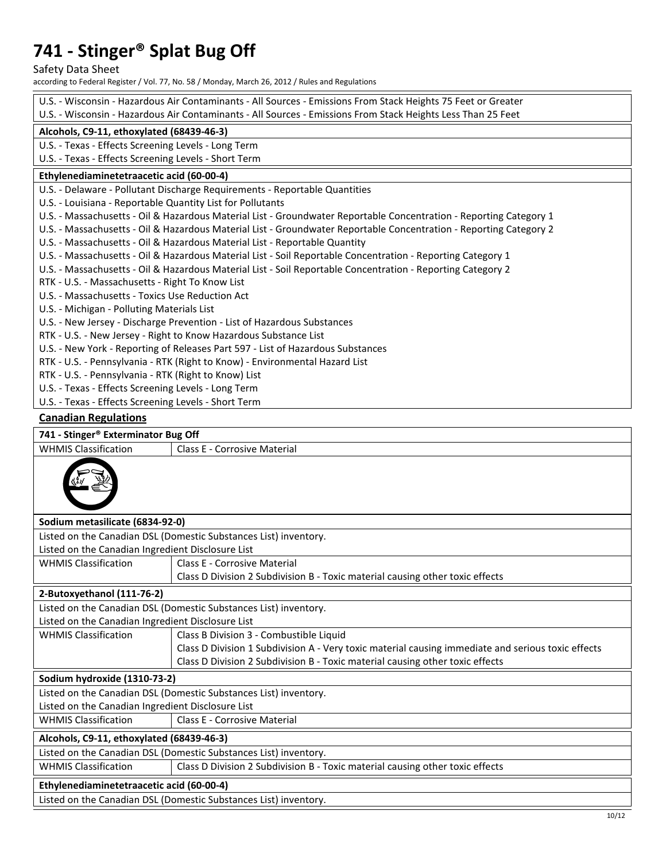Safety Data Sheet

according to Federal Register / Vol. 77, No. 58 / Monday, March 26, 2012 / Rules and Regulations

|                                                                                                              | U.S. - Wisconsin - Hazardous Air Contaminants - All Sources - Emissions From Stack Heights 75 Feet or Greater      |  |  |
|--------------------------------------------------------------------------------------------------------------|--------------------------------------------------------------------------------------------------------------------|--|--|
| U.S. - Wisconsin - Hazardous Air Contaminants - All Sources - Emissions From Stack Heights Less Than 25 Feet |                                                                                                                    |  |  |
| Alcohols, C9-11, ethoxylated (68439-46-3)                                                                    |                                                                                                                    |  |  |
| U.S. - Texas - Effects Screening Levels - Long Term                                                          |                                                                                                                    |  |  |
| U.S. - Texas - Effects Screening Levels - Short Term                                                         |                                                                                                                    |  |  |
| Ethylenediaminetetraacetic acid (60-00-4)                                                                    |                                                                                                                    |  |  |
|                                                                                                              | U.S. - Delaware - Pollutant Discharge Requirements - Reportable Quantities                                         |  |  |
| U.S. - Louisiana - Reportable Quantity List for Pollutants                                                   |                                                                                                                    |  |  |
|                                                                                                              | U.S. - Massachusetts - Oil & Hazardous Material List - Groundwater Reportable Concentration - Reporting Category 1 |  |  |
|                                                                                                              | U.S. - Massachusetts - Oil & Hazardous Material List - Groundwater Reportable Concentration - Reporting Category 2 |  |  |
|                                                                                                              | U.S. - Massachusetts - Oil & Hazardous Material List - Reportable Quantity                                         |  |  |
|                                                                                                              | U.S. - Massachusetts - Oil & Hazardous Material List - Soil Reportable Concentration - Reporting Category 1        |  |  |
|                                                                                                              | U.S. - Massachusetts - Oil & Hazardous Material List - Soil Reportable Concentration - Reporting Category 2        |  |  |
| RTK - U.S. - Massachusetts - Right To Know List                                                              |                                                                                                                    |  |  |
| U.S. - Massachusetts - Toxics Use Reduction Act                                                              |                                                                                                                    |  |  |
| U.S. - Michigan - Polluting Materials List                                                                   |                                                                                                                    |  |  |
|                                                                                                              | U.S. - New Jersey - Discharge Prevention - List of Hazardous Substances                                            |  |  |
|                                                                                                              | RTK - U.S. - New Jersey - Right to Know Hazardous Substance List                                                   |  |  |
|                                                                                                              | U.S. - New York - Reporting of Releases Part 597 - List of Hazardous Substances                                    |  |  |
|                                                                                                              | RTK - U.S. - Pennsylvania - RTK (Right to Know) - Environmental Hazard List                                        |  |  |
| RTK - U.S. - Pennsylvania - RTK (Right to Know) List                                                         |                                                                                                                    |  |  |
| U.S. - Texas - Effects Screening Levels - Long Term                                                          |                                                                                                                    |  |  |
| U.S. - Texas - Effects Screening Levels - Short Term                                                         |                                                                                                                    |  |  |
| <b>Canadian Regulations</b>                                                                                  |                                                                                                                    |  |  |
| 741 - Stinger® Exterminator Bug Off                                                                          |                                                                                                                    |  |  |
| <b>WHMIS Classification</b>                                                                                  | Class E - Corrosive Material                                                                                       |  |  |
|                                                                                                              |                                                                                                                    |  |  |
| Sodium metasilicate (6834-92-0)                                                                              |                                                                                                                    |  |  |
|                                                                                                              | Listed on the Canadian DSL (Domestic Substances List) inventory.                                                   |  |  |
| Listed on the Canadian Ingredient Disclosure List                                                            |                                                                                                                    |  |  |
| <b>WHMIS Classification</b>                                                                                  | <b>Class E - Corrosive Material</b>                                                                                |  |  |
|                                                                                                              | Class D Division 2 Subdivision B - Toxic material causing other toxic effects                                      |  |  |
| 2-Butoxyethanol (111-76-2)                                                                                   |                                                                                                                    |  |  |
|                                                                                                              | Listed on the Canadian DSL (Domestic Substances List) inventory.                                                   |  |  |
| Listed on the Canadian Ingredient Disclosure List                                                            |                                                                                                                    |  |  |
| <b>WHMIS Classification</b>                                                                                  | Class B Division 3 - Combustible Liquid                                                                            |  |  |
|                                                                                                              | Class D Division 1 Subdivision A - Very toxic material causing immediate and serious toxic effects                 |  |  |
|                                                                                                              | Class D Division 2 Subdivision B - Toxic material causing other toxic effects                                      |  |  |
| Sodium hydroxide (1310-73-2)                                                                                 |                                                                                                                    |  |  |
| Listed on the Canadian DSL (Domestic Substances List) inventory.                                             |                                                                                                                    |  |  |
| Listed on the Canadian Ingredient Disclosure List                                                            |                                                                                                                    |  |  |
| <b>WHMIS Classification</b><br><b>Class E - Corrosive Material</b>                                           |                                                                                                                    |  |  |
| Alcohols, C9-11, ethoxylated (68439-46-3)                                                                    |                                                                                                                    |  |  |
| Listed on the Canadian DSL (Domestic Substances List) inventory.                                             |                                                                                                                    |  |  |
| <b>WHMIS Classification</b><br>Class D Division 2 Subdivision B - Toxic material causing other toxic effects |                                                                                                                    |  |  |
| Ethylenediaminetetraacetic acid (60-00-4)                                                                    |                                                                                                                    |  |  |
| Listed on the Canadian DSL (Domestic Substances List) inventory.                                             |                                                                                                                    |  |  |
|                                                                                                              |                                                                                                                    |  |  |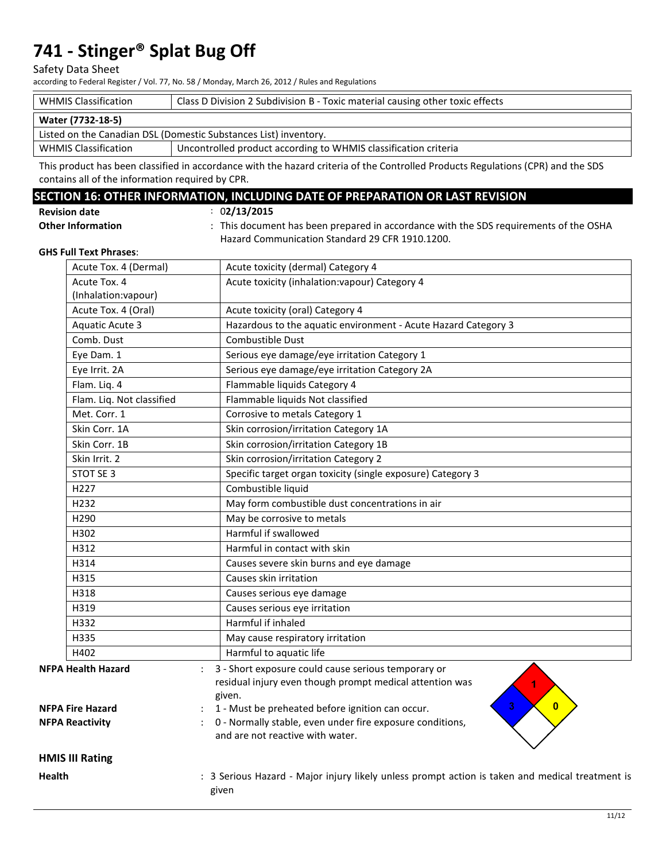#### Safety Data Sheet

according to Federal Register / Vol. 77, No. 58 / Monday, March 26, 2012 / Rules and Regulations

| <b>WHMIS Classification</b>                                      | Class D Division 2 Subdivision B - Toxic material causing other toxic effects |  |  |
|------------------------------------------------------------------|-------------------------------------------------------------------------------|--|--|
| Water (7732-18-5)                                                |                                                                               |  |  |
| Listed on the Canadian DSL (Domestic Substances List) inventory. |                                                                               |  |  |
| <b>WHMIS Classification</b>                                      | Uncontrolled product according to WHMIS classification criteria               |  |  |

This product has been classified in accordance with the hazard criteria of the Controlled Products Regulations (CPR) and the SDS contains all of the information required by CPR.

## **SECTION 16: OTHER INFORMATION, INCLUDING DATE OF PREPARATION OR LAST REVISION**

: 0**2/13/2015**

: This document has been prepared in accordance with the SDS requirements of the OSHA Hazard Communication Standard 29 CFR 1910.1200.

#### **GHS Full Text Phrases**:

**Other Information** 

|               | Acute Tox. 4 (Dermal)                                | Acute toxicity (dermal) Category 4                                                                                                                                                                 |
|---------------|------------------------------------------------------|----------------------------------------------------------------------------------------------------------------------------------------------------------------------------------------------------|
|               | Acute Tox. 4                                         | Acute toxicity (inhalation: vapour) Category 4                                                                                                                                                     |
|               | (Inhalation:vapour)                                  |                                                                                                                                                                                                    |
|               | Acute Tox. 4 (Oral)                                  | Acute toxicity (oral) Category 4                                                                                                                                                                   |
|               | <b>Aquatic Acute 3</b>                               | Hazardous to the aquatic environment - Acute Hazard Category 3                                                                                                                                     |
|               | Comb. Dust                                           | Combustible Dust                                                                                                                                                                                   |
|               | Eye Dam. 1                                           | Serious eye damage/eye irritation Category 1                                                                                                                                                       |
|               | Eye Irrit. 2A                                        | Serious eye damage/eye irritation Category 2A                                                                                                                                                      |
|               | Flam. Liq. 4                                         | Flammable liquids Category 4                                                                                                                                                                       |
|               | Flam. Liq. Not classified                            | Flammable liquids Not classified                                                                                                                                                                   |
|               | Met. Corr. 1                                         | Corrosive to metals Category 1                                                                                                                                                                     |
|               | Skin Corr. 1A                                        | Skin corrosion/irritation Category 1A                                                                                                                                                              |
|               | Skin Corr. 1B                                        | Skin corrosion/irritation Category 1B                                                                                                                                                              |
|               | Skin Irrit. 2                                        | Skin corrosion/irritation Category 2                                                                                                                                                               |
|               | STOT SE 3                                            | Specific target organ toxicity (single exposure) Category 3                                                                                                                                        |
|               | H <sub>227</sub>                                     | Combustible liquid                                                                                                                                                                                 |
|               | H <sub>232</sub>                                     | May form combustible dust concentrations in air                                                                                                                                                    |
|               | H <sub>290</sub>                                     | May be corrosive to metals                                                                                                                                                                         |
|               | H302                                                 | Harmful if swallowed                                                                                                                                                                               |
|               | H312                                                 | Harmful in contact with skin                                                                                                                                                                       |
|               | H314                                                 | Causes severe skin burns and eye damage                                                                                                                                                            |
|               | H315                                                 | Causes skin irritation                                                                                                                                                                             |
|               | H318                                                 | Causes serious eye damage                                                                                                                                                                          |
|               | H319                                                 | Causes serious eye irritation                                                                                                                                                                      |
|               | H332                                                 | Harmful if inhaled                                                                                                                                                                                 |
|               | H335                                                 | May cause respiratory irritation                                                                                                                                                                   |
|               | H402                                                 | Harmful to aquatic life                                                                                                                                                                            |
|               | <b>NFPA Health Hazard</b><br><b>NFPA Fire Hazard</b> | 3 - Short exposure could cause serious temporary or<br>residual injury even though prompt medical attention was<br>given.<br>3<br>$\mathbf{0}$<br>1 - Must be preheated before ignition can occur. |
|               | <b>NFPA Reactivity</b>                               | 0 - Normally stable, even under fire exposure conditions,<br>and are not reactive with water.                                                                                                      |
|               | <b>HMIS III Rating</b>                               |                                                                                                                                                                                                    |
| <b>Health</b> |                                                      | : 3 Serious Hazard - Major injury likely unless prompt action is taken and medical treatment is<br>given                                                                                           |